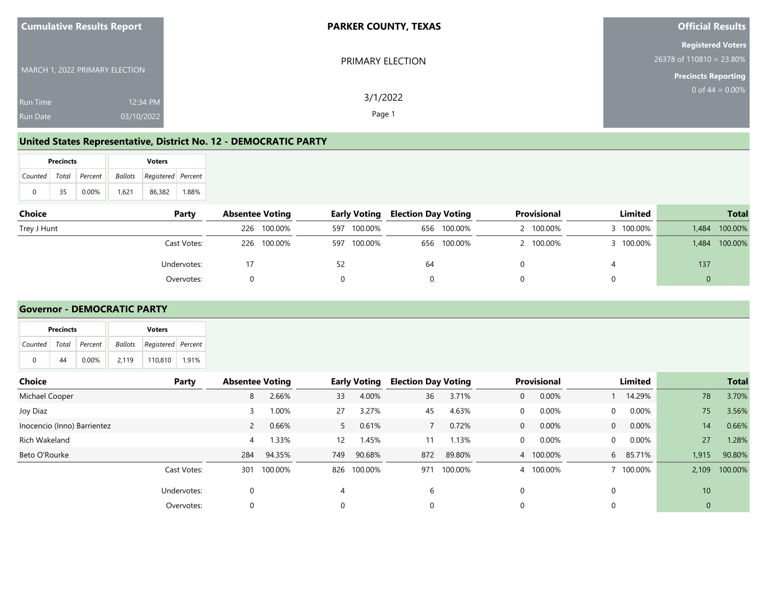| <b>Cumulative Results Report</b>                             | <b>PARKER COUNTY, TEXAS</b> | <b>Official Results</b>                                                              |
|--------------------------------------------------------------|-----------------------------|--------------------------------------------------------------------------------------|
| MARCH 1, 2022 PRIMARY ELECTION                               | PRIMARY ELECTION            | <b>Registered Voters</b><br>$26378$ of 110810 = 23.80%<br><b>Precincts Reporting</b> |
| 12:34 PM<br><b>Run Time</b><br>03/10/2022<br><b>Run Date</b> | 3/1/2022<br>Page 1          | 0 of $44 = 0.00\%$                                                                   |

#### **United States Representative, District No. 12 - DEMOCRATIC PARTY**

|                       | <b>Precincts</b> |          | <b>Voters</b> |                                   |       |  |  |  |
|-----------------------|------------------|----------|---------------|-----------------------------------|-------|--|--|--|
| Counted Total Percent |                  |          |               | <b>Ballots</b> Registered Percent |       |  |  |  |
| 0                     | 35               | $0.00\%$ | 1.621         | 86.382                            | 1.88% |  |  |  |

| Choice      | Party       | <b>Absentee Voting</b> |             | <b>Early Voting</b> | <b>Election Day Voting</b> |             | Provisional | Limited   |       | <b>Total</b> |
|-------------|-------------|------------------------|-------------|---------------------|----------------------------|-------------|-------------|-----------|-------|--------------|
| Trey J Hunt |             | 226                    | 100.00%     | 597 100.00%         |                            | 656 100.00% | 100.00%     | 3 100.00% | 1,484 | 100.00%      |
|             | Cast Votes: |                        | 226 100.00% | 597 100.00%         |                            | 656 100.00% | 100.00%     | 3 100.00% | 1,484 | 100.00%      |
|             | Undervotes: |                        |             |                     | 64                         |             |             |           | 137   |              |
|             | Overvotes:  |                        |             |                     |                            |             |             |           |       |              |

#### **Governor - DEMOCRATIC PARTY**

|              | <b>Precincts</b> |         |         | <b>Voters</b>      |       |
|--------------|------------------|---------|---------|--------------------|-------|
| Counted      | Total            | Percent | Ballots | Registered Percent |       |
| $\mathbf{0}$ | 44               | 0.00%   | 2,119   | 110,810            | 1.91% |
|              |                  |         |         |                    |       |
| $Chain$      |                  |         |         |                    | Dorbu |

| <b>Choice</b>               | Party       | <b>Absentee Voting</b> |         |     | <b>Early Voting</b> | <b>Election Day Voting</b> |         | <b>Provisional</b>    | Limited                    |              | <b>Total</b> |
|-----------------------------|-------------|------------------------|---------|-----|---------------------|----------------------------|---------|-----------------------|----------------------------|--------------|--------------|
| Michael Cooper              |             | 8                      | 2.66%   | 33  | 4.00%               | 36                         | 3.71%   | 0.00%<br>$\mathbf{0}$ | 14.29%                     | 78           | 3.70%        |
| Joy Diaz                    |             |                        | 1.00%   | 27  | 3.27%               | 45                         | 4.63%   | 0.00%<br>0            | $0.00\%$<br>$\mathbf{0}$   | 75           | 3.56%        |
| Inocencio (Inno) Barrientez |             | $\overline{2}$         | 0.66%   |     | 0.61%               |                            | 0.72%   | 0.00%<br>$\mathbf{0}$ | $0.00\%$<br>$\overline{0}$ | 14           | 0.66%        |
| Rich Wakeland               |             | 4                      | 1.33%   | 12  | 1.45%               | 11                         | 1.13%   | 0.00%<br>0            | $0.00\%$<br>$\overline{0}$ | 27           | 1.28%        |
| Beto O'Rourke               |             | 284                    | 94.35%  | 749 | 90.68%              | 872                        | 89.80%  | 100.00%<br>4          | 6 85.71%                   | 1,915        | 90.80%       |
|                             | Cast Votes: | 301                    | 100.00% |     | 826 100.00%         | 971                        | 100.00% | 100.00%<br>4          | 7 100.00%                  | 2,109        | 100.00%      |
|                             | Undervotes: |                        |         |     |                     | 6                          |         | 0                     |                            | 10           |              |
|                             | Overvotes:  |                        |         |     |                     | 0                          |         | 0                     |                            | $\mathbf{0}$ |              |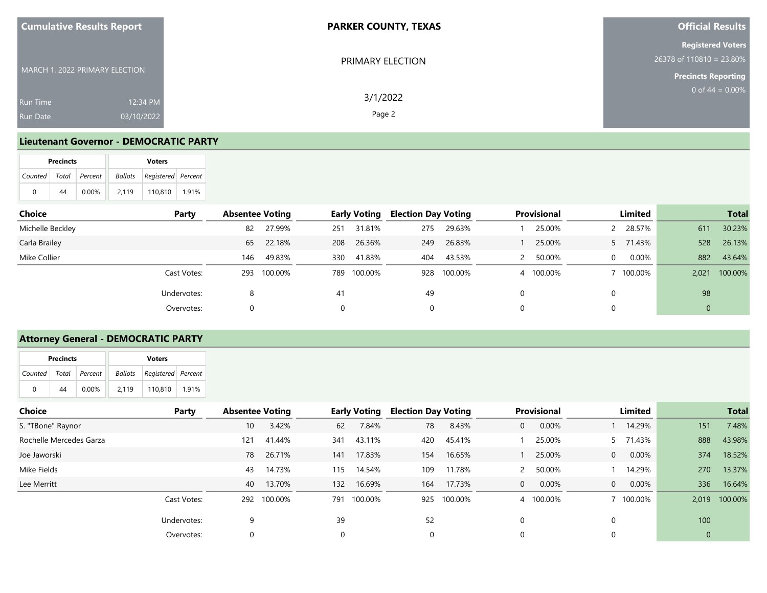| <b>Cumulative Results Report</b>                             | <b>PARKER COUNTY, TEXAS</b> | <b>Official Results</b>                                                              |
|--------------------------------------------------------------|-----------------------------|--------------------------------------------------------------------------------------|
| MARCH 1, 2022 PRIMARY ELECTION                               | PRIMARY ELECTION            | <b>Registered Voters</b><br>$26378$ of 110810 = 23.80%<br><b>Precincts Reporting</b> |
| 12:34 PM<br><b>Run Time</b><br>03/10/2022<br><b>Run Date</b> | 3/1/2022<br>Page 2          | 0 of $44 = 0.00\%$                                                                   |

#### **Lieutenant Governor - DEMOCRATIC PARTY**

| <b>Precincts</b> |                       |    |          |  | <b>Voters</b> |                            |       |  |  |  |
|------------------|-----------------------|----|----------|--|---------------|----------------------------|-------|--|--|--|
|                  | Counted Total Percent |    |          |  |               | Ballots Registered Percent |       |  |  |  |
|                  | 0                     | 44 | $0.00\%$ |  | 2.119         | 110.810                    | 1.91% |  |  |  |

| <b>Choice</b>    | Party       | <b>Absentee Voting</b> |         |          | <b>Early Voting</b> | <b>Election Day Voting</b> |         |   | Provisional |          | Limited  |       | <b>Total</b> |
|------------------|-------------|------------------------|---------|----------|---------------------|----------------------------|---------|---|-------------|----------|----------|-------|--------------|
| Michelle Beckley |             | 82                     | 27.99%  | 251      | 31.81%              | 275                        | 29.63%  |   | 25.00%      |          | 2 28.57% | 611   | 30.23%       |
| Carla Brailey    |             | 65                     | 22.18%  | 208      | 26.36%              | 249                        | 26.83%  |   | 25.00%      |          | 5 71.43% | 528   | 26.13%       |
| Mike Collier     |             | 146                    | 49.83%  | 330      | 41.83%              | 404                        | 43.53%  |   | 50.00%      | $\Omega$ | $0.00\%$ | 882   | 43.64%       |
|                  | Cast Votes: | 293                    | 100.00% |          | 789 100.00%         | 928                        | 100.00% | 4 | 100.00%     |          | 100.00%  | 2,021 | 100.00%      |
|                  | Undervotes: | 8                      |         | 41       |                     | 49                         |         |   |             | 0        |          | 98    |              |
|                  | Overvotes:  | 0                      |         | $\Omega$ |                     | 0                          |         | 0 |             | $\Omega$ |          | 0     |              |

#### **Attorney General - DEMOCRATIC PARTY**

|   | <b>Precincts</b> |                       |       | <b>Voters</b>              |       |
|---|------------------|-----------------------|-------|----------------------------|-------|
|   |                  | Counted Total Percent |       | Ballots Registered Percent |       |
| 0 | 44               | $0.00\%$              | 2.119 | 110.810                    | 1.91% |

| <b>Choice</b>           | Party | <b>Absentee Voting</b> |             |          | <b>Early Voting</b> | <b>Election Day Voting</b> |         |              | Provisional |                | Limited   |              | <b>Total</b> |
|-------------------------|-------|------------------------|-------------|----------|---------------------|----------------------------|---------|--------------|-------------|----------------|-----------|--------------|--------------|
| S. "TBone" Raynor       |       | 10 <sup>°</sup>        | 3.42%       | 62       | 7.84%               | 78                         | 8.43%   | 0            | 0.00%       |                | 14.29%    | 151          | 7.48%        |
| Rochelle Mercedes Garza |       | 121                    | 41.44%      | 341      | 43.11%              | 420                        | 45.41%  |              | 25.00%      |                | 5 71.43%  | 888          | 43.98%       |
| Joe Jaworski            |       | 78                     | 26.71%      | 141      | 17.83%              | 154                        | 16.65%  |              | 25.00%      | $\overline{0}$ | $0.00\%$  | 374          | 18.52%       |
| Mike Fields             |       | 43                     | 14.73%      | 115      | 14.54%              | 109                        | 11.78%  |              | 50.00%      |                | 14.29%    | 270          | 13.37%       |
| Lee Merritt             |       | 40                     | 13.70%      | 132      | 16.69%              | 164                        | 17.73%  | $\mathbf{0}$ | 0.00%       | $\overline{0}$ | $0.00\%$  | 336          | 16.64%       |
| Cast Votes:             |       |                        | 292 100.00% | 791      | 100.00%             | 925                        | 100.00% | 4            | 100.00%     |                | 7 100.00% | 2,019        | 100.00%      |
| Undervotes:             |       | 9                      |             | 39       |                     | 52                         |         |              |             |                |           | 100          |              |
| Overvotes:              |       | 0                      |             | $\Omega$ |                     | 0                          |         |              |             |                |           | $\mathbf{0}$ |              |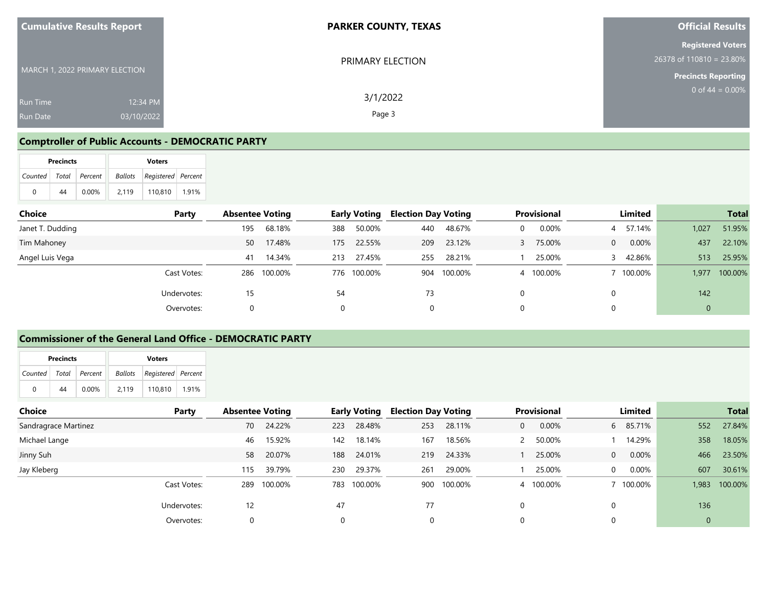| <b>Cumulative Results Report</b> | <b>PARKER COUNTY, TEXAS</b> | <b>Official Results</b>                              |
|----------------------------------|-----------------------------|------------------------------------------------------|
| MARCH 1, 2022 PRIMARY ELECTION   | PRIMARY ELECTION            | <b>Registered Voters</b><br>26378 of 110810 = 23.80% |
|                                  |                             | <b>Precincts Reporting</b><br>0 of $44 = 0.00\%$     |
| 12:34 PM<br><b>Run Time</b>      | 3/1/2022                    |                                                      |
| 03/10/2022<br><b>Run Date</b>    | Page 3                      |                                                      |

#### **Comptroller of Public Accounts - DEMOCRATIC PARTY**

|                           | <b>Precincts</b> |          | <b>Voters</b> |                                   |       |  |  |  |
|---------------------------|------------------|----------|---------------|-----------------------------------|-------|--|--|--|
| Counted   Total   Percent |                  |          |               | <b>Ballots</b> Registered Percent |       |  |  |  |
| 0                         | 44               | $0.00\%$ | 2.119         | 110.810                           | 1.91% |  |  |  |

| <b>Choice</b><br>Party |     | <b>Absentee Voting</b> |     | <b>Early Voting</b> | <b>Election Day Voting</b> |         | <b>Provisional</b> |          | Limited  |       | <b>Total</b> |
|------------------------|-----|------------------------|-----|---------------------|----------------------------|---------|--------------------|----------|----------|-------|--------------|
| Janet T. Dudding       | 195 | 68.18%                 | 388 | 50.00%              | 440                        | 48.67%  | 0.00%              | 4        | 57.14%   | 1,027 | 51.95%       |
| Tim Mahoney            | 50  | 17.48%                 | 175 | 22.55%              | 209                        | 23.12%  | 75.00%             | $\Omega$ | 0.00%    | 437   | 22.10%       |
| Angel Luis Vega        | 41  | 14.34%                 | 213 | 27.45%              | 255                        | 28.21%  | 25.00%             |          | 3 42.86% | 513   | 25.95%       |
| Cast Votes:            | 286 | 100.00%                |     | 776 100.00%         | 904                        | 100.00% | 100.00%            |          | 100.00%  | 1,977 | 100.00%      |
| Undervotes:            | 15  |                        | 54  |                     | 73                         |         |                    | 0        |          | 142   |              |
| Overvotes:             |     |                        | 0   |                     | $\mathbf{0}$               |         |                    | 0        |          | 0     |              |

### **Commissioner of the General Land Office - DEMOCRATIC PARTY**

|                       | <b>Precincts</b> |          | <b>Voters</b> |                                |       |  |  |  |  |
|-----------------------|------------------|----------|---------------|--------------------------------|-------|--|--|--|--|
| Counted Total Percent |                  |          |               | Ballots   Registered   Percent |       |  |  |  |  |
| 0                     | 44               | $0.00\%$ | 2.119         | 110.810                        | 1.91% |  |  |  |  |

| Choice               | Party       | <b>Absentee Voting</b> |         |          | <b>Early Voting</b> | <b>Election Day Voting</b> |         |          | <b>Provisional</b> | Limited  |              | <b>Total</b>  |
|----------------------|-------------|------------------------|---------|----------|---------------------|----------------------------|---------|----------|--------------------|----------|--------------|---------------|
| Sandragrace Martinez |             | 70                     | 24.22%  | 223      | 28.48%              | 253                        | 28.11%  | $\Omega$ | 0.00%              | 6 85.71% | 552          | 27.84%        |
| Michael Lange        |             | 46                     | 15.92%  | 142      | 18.14%              | 167                        | 18.56%  |          | 50.00%             | 14.29%   | 358          | 18.05%        |
| Jinny Suh            |             | 58                     | 20.07%  | 188      | 24.01%              | 219                        | 24.33%  |          | 25.00%             | 0.00%    | 466          | 23.50%        |
| Jay Kleberg          |             | 115                    | 39.79%  | 230      | 29.37%              | 261                        | 29.00%  |          | 25.00%             | $0.00\%$ | 607          | 30.61%        |
|                      | Cast Votes: | 289                    | 100.00% | 783      | 100.00%             | 900                        | 100.00% | 4        | 100.00%            | 100.00%  |              | 1,983 100.00% |
|                      | Undervotes: | 12                     |         | 47       |                     | 77                         |         | $\Omega$ |                    |          | 136          |               |
|                      | Overvotes:  | 0                      |         | $\Omega$ |                     |                            |         |          |                    |          | $\mathbf{0}$ |               |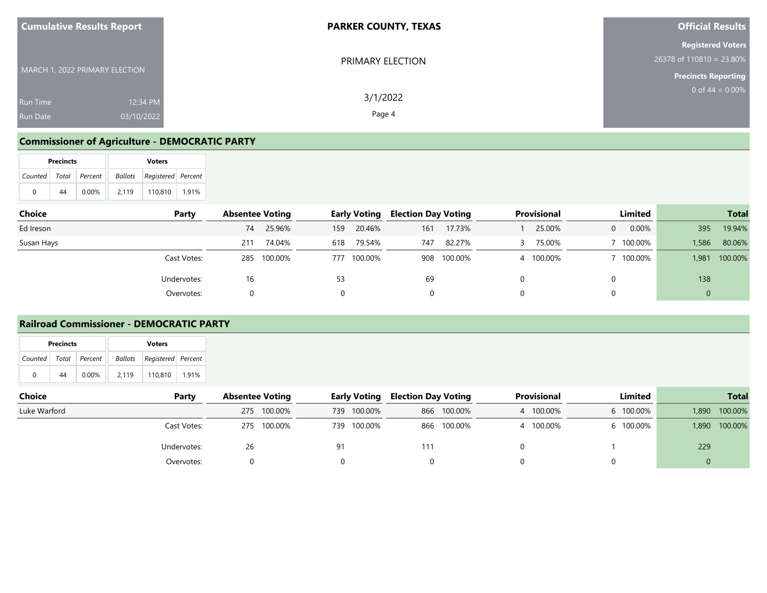| <b>Cumulative Results Report</b>                             | <b>PARKER COUNTY, TEXAS</b> | <b>Official Results</b>                                                              |
|--------------------------------------------------------------|-----------------------------|--------------------------------------------------------------------------------------|
| MARCH 1, 2022 PRIMARY ELECTION                               | PRIMARY ELECTION            | <b>Registered Voters</b><br>$26378$ of 110810 = 23.80%<br><b>Precincts Reporting</b> |
| 12:34 PM<br><b>Run Time</b><br>03/10/2022<br><b>Run Date</b> | 3/1/2022<br>Page 4          | 0 of $44 = 0.00\%$                                                                   |

## **Commissioner of Agriculture - DEMOCRATIC PARTY**

|                       | <b>Precincts</b> |          | <b>Voters</b> |                            |       |  |  |  |  |
|-----------------------|------------------|----------|---------------|----------------------------|-------|--|--|--|--|
| Counted Total Percent |                  |          |               | Ballots Registered Percent |       |  |  |  |  |
| 0                     | 44               | $0.00\%$ | 2.119         | 110.810                    | 1.91% |  |  |  |  |

| Choice     | Party       | <b>Absentee Voting</b> | <b>Early Voting</b> |        | <b>Election Day Voting</b> |             | <b>Provisional</b> |          | Limited |       | <b>Total</b> |
|------------|-------------|------------------------|---------------------|--------|----------------------------|-------------|--------------------|----------|---------|-------|--------------|
| Ed Ireson  |             | 25.96%<br>74           | 159                 | 20.46% | 161                        | 17.73%      | 25.00%             | $\Omega$ | 0.00%   | 395   | 19.94%       |
| Susan Hays |             | 74.04%<br>211          | 618                 | 79.54% | 747                        | 82.27%      | 75.00%             |          | 100.00% | 1,586 | 80.06%       |
|            | Cast Votes: | 285 100.00%            | 777 100.00%         |        |                            | 908 100.00% | 100.00%            |          | 100.00% | 1,981 | 100.00%      |
|            | Undervotes: | 16                     | 53                  |        | 69                         |             |                    |          |         | 138   |              |
|            | Overvotes:  |                        | $\Omega$            |        | $\Omega$                   |             |                    |          |         | ν     |              |

#### **Railroad Commissioner - DEMOCRATIC PARTY**

|                | <b>Precincts</b> |               | <b>Voters</b> |                                |       |  |  |  |  |
|----------------|------------------|---------------|---------------|--------------------------------|-------|--|--|--|--|
| <b>Counted</b> |                  | Total Percent |               | Ballots   Registered   Percent |       |  |  |  |  |
| 0              | 44               | 0.00%         | 2.119         | 110.810                        | 1.91% |  |  |  |  |

| Choice       | Party       | <b>Absentee Voting</b> |         |     | <b>Early Voting</b> | <b>Election Day Voting</b> |             | <b>Provisional</b> | Limited   |       | <b>Total</b> |
|--------------|-------------|------------------------|---------|-----|---------------------|----------------------------|-------------|--------------------|-----------|-------|--------------|
| Luke Warford |             | 275                    | 100.00% | 739 | 100.00%             |                            | 866 100.00% | 4 100.00%          | 6 100.00% | 1,890 | 100.00%      |
|              | Cast Votes: | 275                    | 100.00% | 739 | 100.00%             |                            | 866 100.00% | 100.00%            | 6 100.00% | 1,890 | 100.00%      |
|              | Undervotes: | 26                     |         | 91  |                     | 111                        |             |                    |           | 229   |              |
|              | Overvotes:  |                        |         |     |                     |                            |             |                    |           |       |              |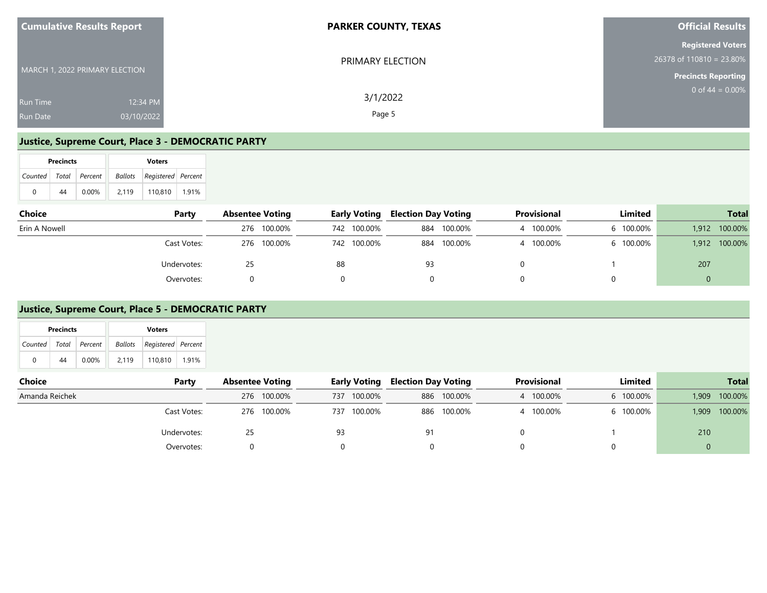| <b>Cumulative Results Report</b>                             | <b>PARKER COUNTY, TEXAS</b> | <b>Official Results</b>                                                                 |
|--------------------------------------------------------------|-----------------------------|-----------------------------------------------------------------------------------------|
| MARCH 1, 2022 PRIMARY ELECTION                               | PRIMARY ELECTION            | <b>Registered Voters</b><br>$26378$ of $110810 = 23.80\%$<br><b>Precincts Reporting</b> |
| 12:34 PM<br><b>Run Time</b><br>03/10/2022<br><b>Run Date</b> | 3/1/2022<br>Page 5          | 0 of $44 = 0.00\%$                                                                      |

#### **Justice, Supreme Court, Place 3 - DEMOCRATIC PARTY**

|                       | <b>Precincts</b> |       | <b>Voters</b> |                                |       |  |  |  |  |
|-----------------------|------------------|-------|---------------|--------------------------------|-------|--|--|--|--|
| Counted Total Percent |                  |       |               | Ballots   Registered   Percent |       |  |  |  |  |
| 0                     | 44               | 0.00% | 2.119         | 110.810                        | 1.91% |  |  |  |  |

| <b>Choice</b> | Party       | <b>Absentee Voting</b> | <b>Early Voting</b> | <b>Election Day Voting</b> | Provisional | Limited   | <b>Total</b>     |
|---------------|-------------|------------------------|---------------------|----------------------------|-------------|-----------|------------------|
| Erin A Nowell |             | 276 100.00%            | 742 100.00%         | 884 100.00%                | 100.00%     | 6 100.00% | 100.00%<br>1.912 |
|               | Cast Votes: | 276 100.00%            | 742 100.00%         | 884 100.00%                | 100.00%     | 6 100.00% | 100.00%<br>1.912 |
|               | Undervotes: | 25                     | 88                  | 93                         |             |           | 207              |
|               | Overvotes:  |                        |                     |                            |             |           |                  |

#### **Justice, Supreme Court, Place 5 - DEMOCRATIC PARTY**

| cnoice         | rarty       | Absentee voting |     | <b>Early voting</b> | <b>Election Day Voting</b> |             | Provisional | Limited   |       | Total   |
|----------------|-------------|-----------------|-----|---------------------|----------------------------|-------------|-------------|-----------|-------|---------|
| Amanda Reichek |             | 276 100.00%     | 737 | 100.00%             |                            | 886 100.00% | 100.00%     | 6 100.00% | 1.909 | 100.00% |
|                | Cast Votes: | 276 100.00%     | 737 | 100.00%             |                            | 886 100.00% | 100.00%     | 6 100.00% | 1.909 | 100.00% |
|                | Undervotes: |                 | 93  |                     | 91                         |             |             |           | 210   |         |
|                | Overvotes:  |                 |     |                     |                            |             |             |           |       |         |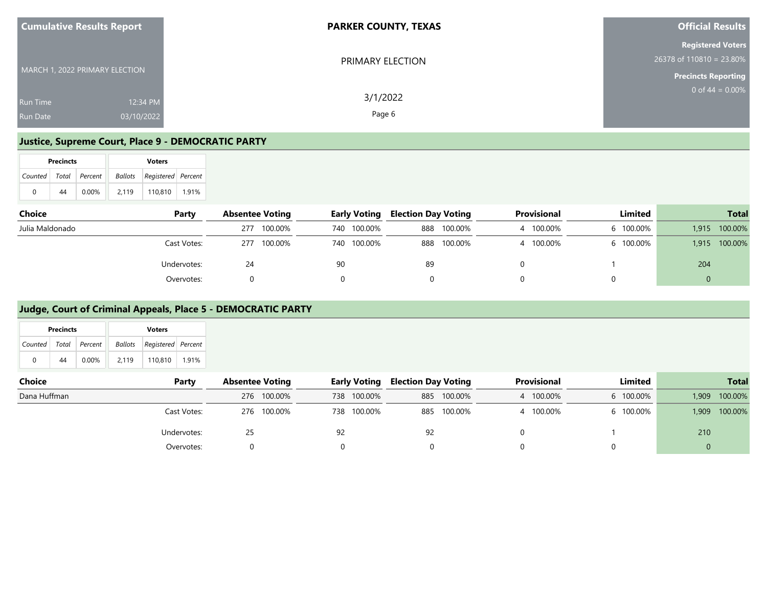| <b>Cumulative Results Report</b>                             | <b>PARKER COUNTY, TEXAS</b> | <b>Official Results</b>                                                                 |
|--------------------------------------------------------------|-----------------------------|-----------------------------------------------------------------------------------------|
| MARCH 1, 2022 PRIMARY ELECTION                               | PRIMARY ELECTION            | <b>Registered Voters</b><br>$26378$ of $110810 = 23.80\%$<br><b>Precincts Reporting</b> |
| 12:34 PM<br><b>Run Time</b><br>03/10/2022<br><b>Run Date</b> | 3/1/2022<br>Page 6          | 0 of $44 = 0.00\%$                                                                      |

#### **Justice, Supreme Court, Place 9 - DEMOCRATIC PARTY**

|                       | <b>Precincts</b> |          |       | <b>Voters</b>                  |       |
|-----------------------|------------------|----------|-------|--------------------------------|-------|
| Counted Total Percent |                  |          |       | Ballots   Registered   Percent |       |
| 0                     | 44               | $0.00\%$ | 2.119 | 110.810                        | 1.91% |

| <b>Choice</b>   | Party       | <b>Absentee Voting</b> | <b>Early Voting</b> | <b>Election Day Voting</b> | Provisional | Limited   | <b>Total</b>     |
|-----------------|-------------|------------------------|---------------------|----------------------------|-------------|-----------|------------------|
| Julia Maldonado |             | 100.00%<br>277         | 740 100.00%         | 888 100.00%                | 100.00%     | 6 100.00% | 100.00%<br>1.915 |
|                 | Cast Votes: | 100.00%<br>277         | 740 100.00%         | 888 100.00%                | 100.00%     | 6 100.00% | 100.00%<br>1.915 |
|                 | Undervotes: | 24                     | 90                  | 89                         |             |           | 204              |
|                 | Overvotes:  |                        |                     |                            |             |           |                  |

### **Judge, Court of Criminal Appeals, Place 5 - DEMOCRATIC PARTY**

|   | <b>Precincts</b> |                           |       | <b>Voters</b>              |  |
|---|------------------|---------------------------|-------|----------------------------|--|
|   |                  | Counted   Total   Percent |       | Ballots Registered Percent |  |
| 0 | 44               | $0.00\%$                  | 2.119 | 110.810 1.91%              |  |

| <b>Choice</b><br>Party | <b>Absentee Voting</b> |             |    | <b>Early Voting</b> | <b>Election Day Voting</b> |             | <b>Provisional</b> | Limited   |          | <b>Total</b> |
|------------------------|------------------------|-------------|----|---------------------|----------------------------|-------------|--------------------|-----------|----------|--------------|
| Dana Huffman           |                        | 276 100.00% |    | 738 100.00%         |                            | 885 100.00% | 100.00%            | 6 100.00% | 1,909    | 100.00%      |
| Cast Votes:            |                        | 276 100.00% |    | 738 100.00%         | 885                        | 100.00%     | 100.00%            | 6 100.00% | 1,909    | 100.00%      |
| Undervotes:            | 25                     |             | 92 |                     | 92                         |             |                    |           | 210      |              |
| Overvotes:             |                        |             |    |                     |                            |             |                    |           | $\Omega$ |              |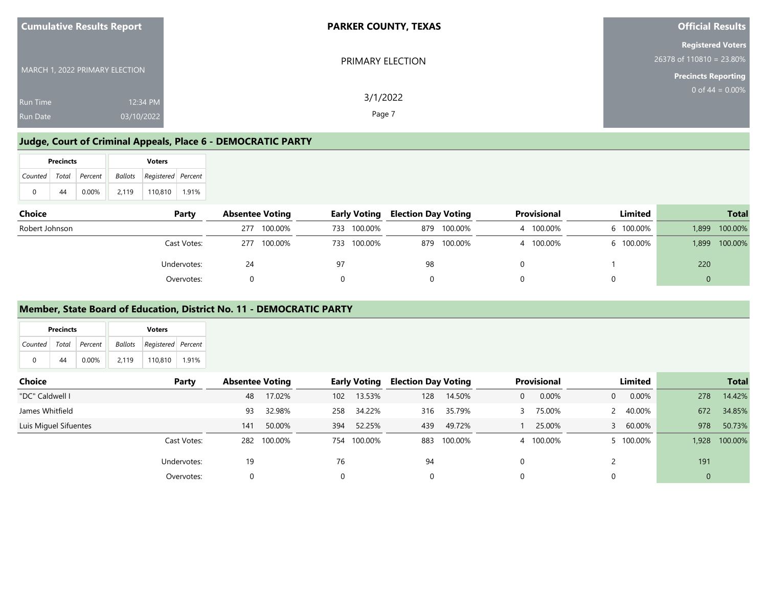| <b>Cumulative Results Report</b>                             | <b>PARKER COUNTY, TEXAS</b> | <b>Official Results</b>                                                              |
|--------------------------------------------------------------|-----------------------------|--------------------------------------------------------------------------------------|
| MARCH 1, 2022 PRIMARY ELECTION                               | PRIMARY ELECTION            | <b>Registered Voters</b><br>$26378$ of 110810 = 23.80%<br><b>Precincts Reporting</b> |
| 12:34 PM<br><b>Run Time</b><br>03/10/2022<br><b>Run Date</b> | 3/1/2022<br>Page 7          | 0 of 44 = $0.00\%$                                                                   |

#### **Judge, Court of Criminal Appeals, Place 6 - DEMOCRATIC PARTY**

|                       | <b>Precincts</b> | <b>Voters</b> |  |       |                                |       |  |  |  |
|-----------------------|------------------|---------------|--|-------|--------------------------------|-------|--|--|--|
| Counted Total Percent |                  |               |  |       | Ballots   Registered   Percent |       |  |  |  |
| 0                     | 44               | $0.00\%$      |  | 2.119 | 110.810                        | 1.91% |  |  |  |

| <b>Choice</b><br>Party | <b>Absentee Voting</b> |         | <b>Early Voting</b> | <b>Election Day Voting</b> |         | Provisional | Limited   |       | <b>Total</b> |
|------------------------|------------------------|---------|---------------------|----------------------------|---------|-------------|-----------|-------|--------------|
| Robert Johnson         | 277                    | 100.00% | 733 100.00%         | 879                        | 100.00% | 100.00%     | 6 100.00% | 1,899 | 100.00%      |
| Cast Votes:            | 277                    | 100.00% | 733 100.00%         | 879                        | 100.00% | 100.00%     | 6 100.00% | 1.899 | 100.00%      |
| Undervotes:            | 24                     |         |                     | 98                         |         |             |           | 220   |              |
| Overvotes:             |                        |         |                     |                            |         |             |           |       |              |

#### **Member, State Board of Education, District No. 11 - DEMOCRATIC PARTY**

|         | <b>Precincts</b><br><b>Voters</b> |               |       |                            |       |
|---------|-----------------------------------|---------------|-------|----------------------------|-------|
| Counted |                                   | Total Percent |       | Ballots Registered Percent |       |
| 0       | 44                                | $0.00\%$      | 2.119 | 110,810                    | 1.91% |

| <b>Choice</b>         | Party       | <b>Absentee Voting</b> |             |          | <b>Early Voting</b> | <b>Election Day Voting</b> |             | <b>Provisional</b> |    | Limited   |              | <b>Total</b> |
|-----------------------|-------------|------------------------|-------------|----------|---------------------|----------------------------|-------------|--------------------|----|-----------|--------------|--------------|
| "DC" Caldwell I       |             | 48                     | 17.02%      | 102      | 13.53%              | 128                        | 14.50%      | 0.00%              | 0  | 0.00%     | 278          | 14.42%       |
| James Whitfield       |             | 93                     | 32.98%      | 258      | 34.22%              | 316                        | 35.79%      | 75.00%             |    | 2 40.00%  | 672          | 34.85%       |
| Luis Miguel Sifuentes |             | 141                    | 50.00%      | 394      | 52.25%              | 439                        | 49.72%      | 25.00%             | 3. | 60.00%    | 978          | 50.73%       |
|                       | Cast Votes: |                        | 282 100.00% | 754      | 100.00%             |                            | 883 100.00% | 4 100.00%          |    | 5 100.00% | 1,928        | 100.00%      |
|                       | Undervotes: | 19                     |             | 76       |                     | 94                         |             |                    |    |           | 191          |              |
|                       | Overvotes:  |                        |             | $\Omega$ |                     | $\Omega$                   |             |                    |    |           | $\mathbf{0}$ |              |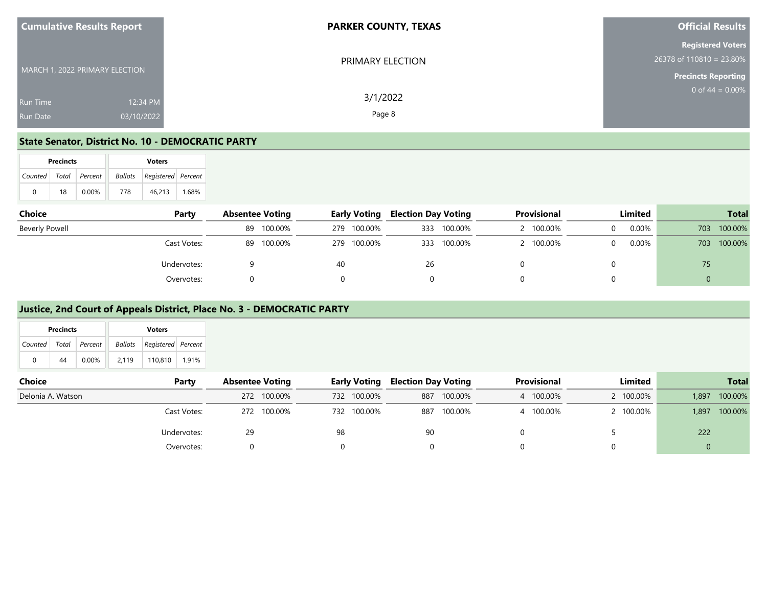| <b>Cumulative Results Report</b>                             | <b>PARKER COUNTY, TEXAS</b> | <b>Official Results</b>                                                            |
|--------------------------------------------------------------|-----------------------------|------------------------------------------------------------------------------------|
| MARCH 1, 2022 PRIMARY ELECTION                               | PRIMARY ELECTION            | <b>Registered Voters</b><br>26378 of 110810 = 23.80%<br><b>Precincts Reporting</b> |
| 12:34 PM<br><b>Run Time</b><br>03/10/2022<br><b>Run Date</b> | 3/1/2022<br>Page 8          | 0 of $44 = 0.00\%$                                                                 |

#### **State Senator, District No. 10 - DEMOCRATIC PARTY**

|                           | <b>Precincts</b> |       |     | <b>Voters</b>                  |       |
|---------------------------|------------------|-------|-----|--------------------------------|-------|
| Counted   Total   Percent |                  |       |     | Ballots   Registered   Percent |       |
| 0                         | 18               | 0.00% | 778 | 46.213                         | 1.68% |

| <b>Choice</b>  | Party       | <b>Absentee Voting</b> | <b>Early Voting</b> | <b>Election Day Voting</b> |             | Provisional | Limited |     | <b>Total</b> |
|----------------|-------------|------------------------|---------------------|----------------------------|-------------|-------------|---------|-----|--------------|
| Beverly Powell |             | 89 100.00%             | 279                 | 100.00%                    | 333 100.00% | 100.00%     | 0.00%   | 703 | 100.00%      |
|                | Cast Votes: | 100.00%<br>89          | 279 100.00%         |                            | 333 100.00% | 100.00%     | 0.00%   | 703 | 100.00%      |
|                | Undervotes: |                        | 40                  | 26                         |             |             |         | 75  |              |
|                | Overvotes:  |                        |                     |                            |             |             |         |     |              |

#### **Justice, 2nd Court of Appeals District, Place No. 3 - DEMOCRATIC PARTY**

| Precincts<br><b>Voters</b>                                   |                        |             |                                                   |                    |           |
|--------------------------------------------------------------|------------------------|-------------|---------------------------------------------------|--------------------|-----------|
| Registered Percent<br>Total<br>Ballots<br>Percent<br>Counted |                        |             |                                                   |                    |           |
| $\mathbf{0}$<br>44<br>0.00%<br>2,119<br>110,810<br>1.91%     |                        |             |                                                   |                    |           |
|                                                              |                        |             |                                                   |                    |           |
| Choice<br>Party                                              | <b>Absentee Voting</b> |             | <b>Election Day Voting</b><br><b>Early Voting</b> | <b>Provisional</b> | Limited   |
| Delonia A. Watson                                            | 272 100.00%            | 732 100.00% | 100.00%<br>887                                    | 4 100.00%          | 2 100.00% |
| Cast Votes:                                                  | 272 100.00%            | 732 100.00% | 100.00%<br>887                                    | 4 100.00%          | 2 100.00% |

Undervotes: 29 98 90 0 5 222 Overvotes: 0 0 0 0 0 0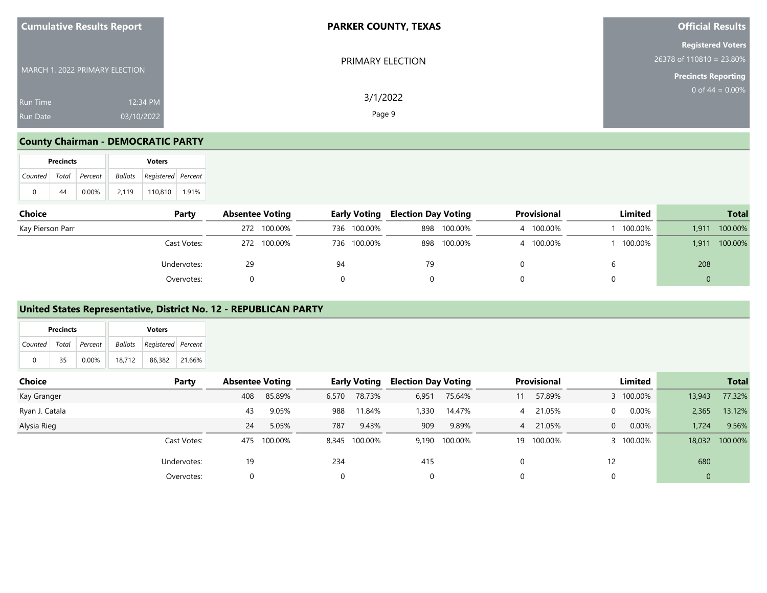| <b>Cumulative Results Report</b>                             | <b>PARKER COUNTY, TEXAS</b> | <b>Official Results</b>                                                              |
|--------------------------------------------------------------|-----------------------------|--------------------------------------------------------------------------------------|
| MARCH 1, 2022 PRIMARY ELECTION                               | PRIMARY ELECTION            | <b>Registered Voters</b><br>$26378$ of 110810 = 23.80%<br><b>Precincts Reporting</b> |
| 12:34 PM<br><b>Run Time</b><br>03/10/2022<br><b>Run Date</b> | 3/1/2022<br>Page 9          | 0 of 44 = $0.00\%$                                                                   |

## **County Chairman - DEMOCRATIC PARTY**

|                       | <b>Precincts</b> |          |         | <b>Voters</b>      |       |
|-----------------------|------------------|----------|---------|--------------------|-------|
| Counted Total Percent |                  |          | Ballots | Registered Percent |       |
| 0                     | 44               | $0.00\%$ | 2.119   | 110.810            | 1.91% |

| Choice           | Party       | <b>Absentee Voting</b> |             |    | <b>Early Voting</b> | <b>Election Day Voting</b> |             | Provisional | Limited |       | <b>Total</b> |
|------------------|-------------|------------------------|-------------|----|---------------------|----------------------------|-------------|-------------|---------|-------|--------------|
| Kay Pierson Parr |             |                        | 272 100.00% |    | 736 100.00%         |                            | 898 100.00% | 100.00%     | 100.00% | 1,911 | 100.00%      |
|                  | Cast Votes: |                        | 272 100.00% |    | 736 100.00%         |                            | 898 100.00% | 100.00%     | 100.00% | 1.911 | 100.00%      |
|                  | Undervotes: | 29                     |             | 94 |                     | 79                         |             |             |         | 208   |              |
|                  | Overvotes:  |                        |             |    |                     |                            |             |             |         |       |              |

### **United States Representative, District No. 12 - REPUBLICAN PARTY**

|         | <b>Precincts</b> |          | <b>Voters</b>              |               |  |  |  |  |  |
|---------|------------------|----------|----------------------------|---------------|--|--|--|--|--|
| Counted | Total            | Percent  | Ballots Registered Percent |               |  |  |  |  |  |
| 0       | 35               | $0.00\%$ | 18.712                     | 86.382 21.66% |  |  |  |  |  |

| Choice         | Party       | <b>Absentee Voting</b> |         |       | Early Voting  | <b>Election Day Voting</b> |               |    | <b>Provisional</b> |          | Limited   |             | <b>Total</b> |
|----------------|-------------|------------------------|---------|-------|---------------|----------------------------|---------------|----|--------------------|----------|-----------|-------------|--------------|
| Kay Granger    |             | 408                    | 85.89%  | 6,570 | 78.73%        | 6,951                      | 75.64%        |    | 57.89%             |          | 3 100.00% | 13,943      | 77.32%       |
| Ryan J. Catala |             | 43                     | 9.05%   | 988   | 11.84%        | 1,330                      | 14.47%        | 4  | 21.05%             | $\Omega$ | $0.00\%$  | 2,365       | 13.12%       |
| Alysia Rieg    |             | 24                     | 5.05%   | 787   | 9.43%         | 909                        | 9.89%         | 4  | 21.05%             | $\Omega$ | $0.00\%$  | 1,724       | 9.56%        |
|                | Cast Votes: | 475                    | 100.00% |       | 8,345 100.00% |                            | 9,190 100.00% | 19 | 100.00%            |          | 3 100,00% | 18,032      | 100.00%      |
|                | Undervotes: | 19                     |         | 234   |               | 415                        |               |    |                    | 12       |           | 680         |              |
|                | Overvotes:  | $\Omega$               |         |       |               | 0                          |               |    |                    |          |           | $\mathbf 0$ |              |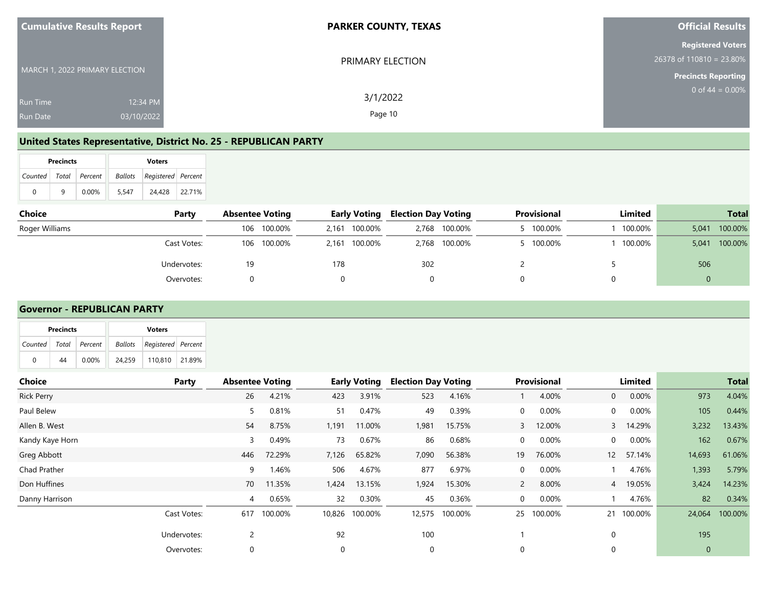| <b>Cumulative Results Report</b>                             | <b>PARKER COUNTY, TEXAS</b> | <b>Official Results</b>                                                              |
|--------------------------------------------------------------|-----------------------------|--------------------------------------------------------------------------------------|
| MARCH 1, 2022 PRIMARY ELECTION                               | PRIMARY ELECTION            | <b>Registered Voters</b><br>$26378$ of 110810 = 23.80%<br><b>Precincts Reporting</b> |
| 12:34 PM<br><b>Run Time</b><br>03/10/2022<br><b>Run Date</b> | 3/1/2022<br>Page 10         | 0 of $44 = 0.00\%$                                                                   |

#### **United States Representative, District No. 25 - REPUBLICAN PARTY**

|                           | <b>Precincts</b> |          |       | <b>Voters</b>                     |        |
|---------------------------|------------------|----------|-------|-----------------------------------|--------|
| Counted   Total   Percent |                  |          |       | <b>Ballots</b> Registered Percent |        |
| 0                         | q                | $0.00\%$ | 5.547 | 24,428                            | 22.71% |

| <b>Choice</b>  | Party       | <b>Absentee Voting</b> |             |     | <b>Early Voting</b> | <b>Election Day Voting</b> |               | Provisional | Limited |       | <b>Total</b> |
|----------------|-------------|------------------------|-------------|-----|---------------------|----------------------------|---------------|-------------|---------|-------|--------------|
| Roger Williams |             |                        | 106 100.00% |     | 2,161 100.00%       |                            | 2,768 100.00% | 100.00%     | 100.00% | 5,041 | 100.00%      |
|                | Cast Votes: |                        | 106 100.00% |     | 2,161 100.00%       |                            | 2,768 100.00% | 100.00%     | 100.00% | 5,041 | 100.00%      |
|                | Undervotes: | 19                     |             | 178 |                     | 302                        |               |             |         | 506   |              |
|                | Overvotes:  |                        |             |     |                     |                            |               |             |         |       |              |

#### **Governor - REPUBLICAN PARTY**

| Ballots<br>Registered Percent |                                               |                                           |                         |     |
|-------------------------------|-----------------------------------------------|-------------------------------------------|-------------------------|-----|
| 21.89%                        |                                               |                                           |                         |     |
|                               | <b>Early Voting</b><br><b>Absentee Voting</b> | Provisional<br><b>Election Day Voting</b> | Limited                 |     |
|                               | 4.21%<br>26<br>3.91%<br>423                   | 523<br>4.00%<br>4.16%                     | 0.00%<br>$\overline{0}$ | 973 |

| KICK Perry      |             | ZO. | 4. $\angle$ 170 | 423      | 3.9170         | CSC    | 4.10%   |                | 4.UU70   | U              | U.UU70    | 913          | 4.04 <sub>70</sub> |
|-----------------|-------------|-----|-----------------|----------|----------------|--------|---------|----------------|----------|----------------|-----------|--------------|--------------------|
| Paul Belew      |             |     | 0.81%           | 51       | 0.47%          | 49     | 0.39%   | 0              | 0.00%    | $\overline{0}$ | 0.00%     | 105          | 0.44%              |
| Allen B. West   |             | 54  | 8.75%           | 1,191    | 11.00%         | 1,981  | 15.75%  | 3              | 12.00%   |                | 3 14.29%  | 3,232        | 13.43%             |
| Kandy Kaye Horn |             | 3   | 0.49%           | 73       | 0.67%          | 86     | 0.68%   | 0              | 0.00%    | $\overline{0}$ | 0.00%     | 162          | 0.67%              |
| Greg Abbott     |             | 446 | 72.29%          | 7,126    | 65.82%         | 7,090  | 56.38%  | 19             | 76.00%   |                | 12 57.14% | 14,693       | 61.06%             |
| Chad Prather    |             | 9   | 1.46%           | 506      | 4.67%          | 877    | 6.97%   | 0              | 0.00%    |                | 4.76%     | 1,393        | 5.79%              |
| Don Huffines    |             | 70  | 11.35%          | 1,424    | 13.15%         | 1,924  | 15.30%  | $\overline{2}$ | 8.00%    |                | 4 19.05%  | 3,424        | 14.23%             |
| Danny Harrison  |             | 4   | 0.65%           | 32       | 0.30%          | 45     | 0.36%   | $\mathbf 0$    | $0.00\%$ |                | 4.76%     | 82           | 0.34%              |
|                 | Cast Votes: | 617 | 100.00%         |          | 10,826 100.00% | 12,575 | 100.00% | 25             | 100.00%  | 21             | 100.00%   | 24,064       | 100.00%            |
|                 | Undervotes: |     |                 | 92       |                | 100    |         |                |          | $\Omega$       |           | 195          |                    |
|                 | Overvotes:  | 0   |                 | $\Omega$ |                | 0      |         | 0              |          | $\mathbf 0$    |           | $\mathbf{0}$ |                    |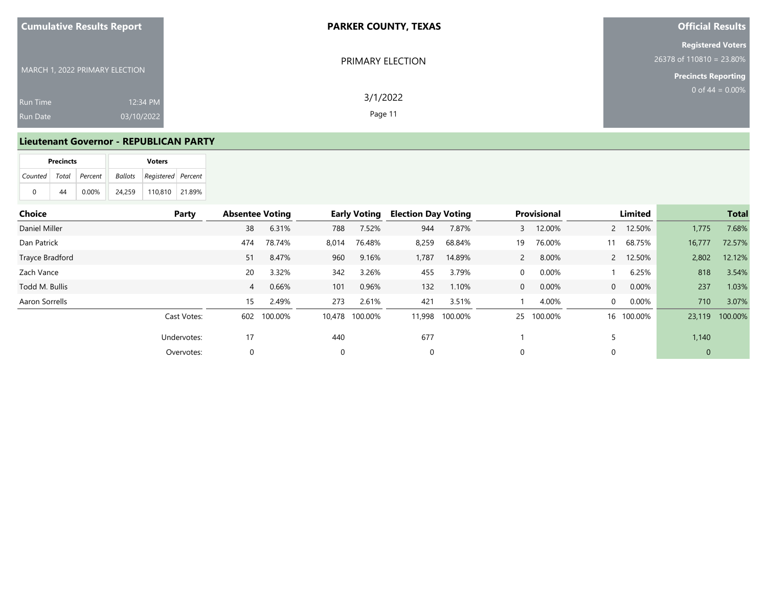| <b>Cumulative Results Report</b>   | <b>PARKER COUNTY, TEXAS</b>                   | <b>Official Results</b>                                                              |
|------------------------------------|-----------------------------------------------|--------------------------------------------------------------------------------------|
| MARCH 1, 2022 PRIMARY ELECTION     | PRIMARY ELECTION                              | <b>Registered Voters</b><br>$26378$ of 110810 = 23.80%<br><b>Precincts Reporting</b> |
| <b>Run Time</b><br><b>Run Date</b> | 3/1/2022<br>12:34 PM<br>Page 11<br>03/10/2022 | 0 of $44 = 0.00\%$                                                                   |

#### **Lieutenant Governor - REPUBLICAN PARTY**

|                           | <b>Precincts</b> |          |        |                                |  |
|---------------------------|------------------|----------|--------|--------------------------------|--|
| Counted   Total   Percent |                  |          |        | Ballots   Registered   Percent |  |
| 0                         | 44               | $0.00\%$ | 24.259 | $110,810$   21.89%             |  |

| <b>Choice</b>   | Party       | <b>Absentee Voting</b> |         |        | <b>Early Voting</b> | <b>Election Day Voting</b> |         |                | Provisional |                | Limited    |              | <b>Total</b> |
|-----------------|-------------|------------------------|---------|--------|---------------------|----------------------------|---------|----------------|-------------|----------------|------------|--------------|--------------|
| Daniel Miller   |             | 38                     | 6.31%   | 788    | 7.52%               | 944                        | 7.87%   | 3              | 12.00%      |                | 2 12.50%   | 1,775        | 7.68%        |
| Dan Patrick     |             | 474                    | 78.74%  | 8,014  | 76.48%              | 8,259                      | 68.84%  | 19             | 76.00%      | 11             | 68.75%     | 16,777       | 72.57%       |
| Trayce Bradford |             | 51                     | 8.47%   | 960    | 9.16%               | 1,787                      | 14.89%  | $\overline{2}$ | 8.00%       |                | 2 12.50%   | 2,802        | 12.12%       |
| Zach Vance      |             | 20                     | 3.32%   | 342    | 3.26%               | 455                        | 3.79%   | 0              | 0.00%       |                | 6.25%      | 818          | 3.54%        |
| Todd M. Bullis  |             | $\overline{4}$         | 0.66%   | 101    | 0.96%               | 132                        | 1.10%   | $\mathbf 0$    | 0.00%       | $\overline{0}$ | $0.00\%$   | 237          | 1.03%        |
| Aaron Sorrells  |             | 15                     | 2.49%   | 273    | 2.61%               | 421                        | 3.51%   |                | 4.00%       | $\overline{0}$ | $0.00\%$   | 710          | 3.07%        |
|                 | Cast Votes: | 602                    | 100.00% | 10.478 | 100.00%             | 11,998                     | 100.00% | 25             | 100.00%     |                | 16 100.00% | 23,119       | 100.00%      |
|                 | Undervotes: | 17                     |         | 440    |                     | 677                        |         |                |             |                |            | 1,140        |              |
|                 | Overvotes:  |                        |         |        |                     | $\mathbf 0$                |         | $\Omega$       |             |                |            | $\mathbf{0}$ |              |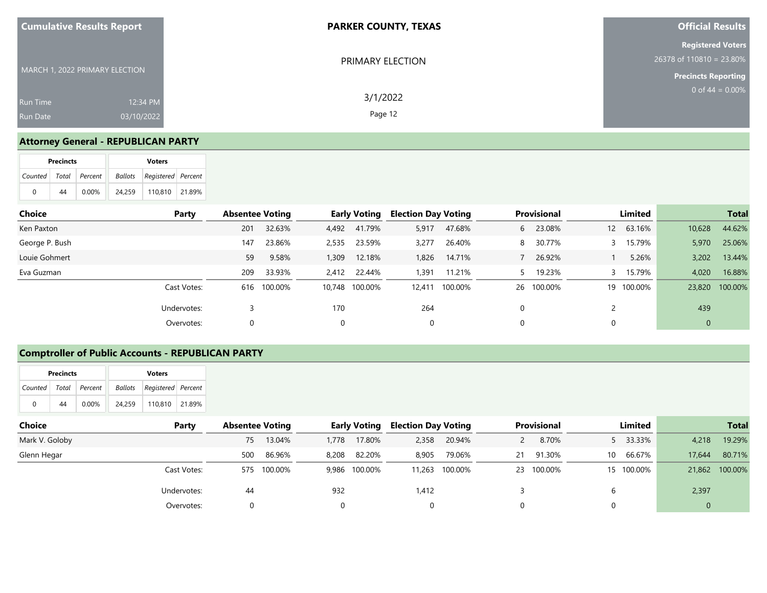| <b>Cumulative Results Report</b>                             | <b>PARKER COUNTY, TEXAS</b> | <b>Official Results</b>                                                            |
|--------------------------------------------------------------|-----------------------------|------------------------------------------------------------------------------------|
| MARCH 1, 2022 PRIMARY ELECTION                               | PRIMARY ELECTION            | <b>Registered Voters</b><br>26378 of 110810 = 23.80%<br><b>Precincts Reporting</b> |
| 12:34 PM<br><b>Run Time</b><br>03/10/2022<br><b>Run Date</b> | 3/1/2022<br>Page 12         | $0$ of 44 = 0.00%                                                                  |

#### **Attorney General - REPUBLICAN PARTY**

|   | <b>Precincts</b> |                       | <b>Voters</b> |                            |  |  |  |  |  |  |
|---|------------------|-----------------------|---------------|----------------------------|--|--|--|--|--|--|
|   |                  | Counted Total Percent |               | Ballots Registered Percent |  |  |  |  |  |  |
| 0 | 44               | $0.00\%$              | 24.259        | 110.810   21.89%           |  |  |  |  |  |  |

| Choice         | Party       | <b>Absentee Voting</b> |             |          | <b>Early Voting</b> | <b>Election Day Voting</b> |         |   | <b>Provisional</b> | Limited    |             | <b>Total</b> |
|----------------|-------------|------------------------|-------------|----------|---------------------|----------------------------|---------|---|--------------------|------------|-------------|--------------|
| Ken Paxton     |             | 201                    | 32.63%      | 4,492    | 41.79%              | 5,917                      | 47.68%  | 6 | 23.08%             | 12 63.16%  | 10,628      | 44.62%       |
| George P. Bush |             | 147                    | 23.86%      | 2,535    | 23.59%              | 3,277                      | 26.40%  | 8 | 30.77%             | 3 15.79%   | 5,970       | 25.06%       |
| Louie Gohmert  |             | 59                     | 9.58%       | 1,309    | 12.18%              | 1,826                      | 14.71%  |   | 26.92%             | 5.26%      | 3,202       | 13.44%       |
| Eva Guzman     |             | 209                    | 33.93%      | 2.412    | 22.44%              | 1.391                      | 11.21%  |   | 19.23%             | 3 15.79%   | 4,020       | 16.88%       |
|                | Cast Votes: |                        | 616 100.00% |          | 10,748 100.00%      | 12.411                     | 100.00% |   | 26 100.00%         | 19 100.00% | 23,820      | 100.00%      |
|                | Undervotes: |                        |             | 170      |                     | 264                        |         |   |                    |            | 439         |              |
|                | Overvotes:  | 0                      |             | $\Omega$ |                     | 0                          |         |   |                    |            | $\mathbf 0$ |              |

### **Comptroller of Public Accounts - REPUBLICAN PARTY**

|                           | <b>Precincts</b> |          |         | <b>Voters</b>      |  |
|---------------------------|------------------|----------|---------|--------------------|--|
| Counted   Total   Percent |                  |          | Ballots | Registered Percent |  |
| 0                         | 44               | $0.00\%$ | 24.259  | 110.810 21.89%     |  |

| Choice         | Party       | <b>Absentee Voting</b> |         |       | <b>Early Voting</b> | <b>Election Day Voting</b> |                |    | <b>Provisional</b> |    | Limited    |                | <b>Total</b>   |
|----------------|-------------|------------------------|---------|-------|---------------------|----------------------------|----------------|----|--------------------|----|------------|----------------|----------------|
| Mark V. Goloby |             | 75                     | 13.04%  | 1,778 | 17.80%              | 2,358                      | 20.94%         |    | 8.70%              |    | 5 33.33%   | 4,218          | 19.29%         |
| Glenn Hegar    |             | 500                    | 86.96%  | 8,208 | 82.20%              | 8.905                      | 79.06%         | 21 | 91.30%             | 10 | 66.67%     | 17,644         | 80.71%         |
|                | Cast Votes: | 575                    | 100.00% |       | 9,986 100.00%       |                            | 11,263 100.00% |    | 23 100.00%         |    | 15 100.00% |                | 21,862 100.00% |
|                | Undervotes: | 44                     |         | 932   |                     | 1,412                      |                |    |                    |    |            | 2,397          |                |
|                | Overvotes:  | 0                      |         |       |                     |                            |                |    |                    |    |            | $\overline{0}$ |                |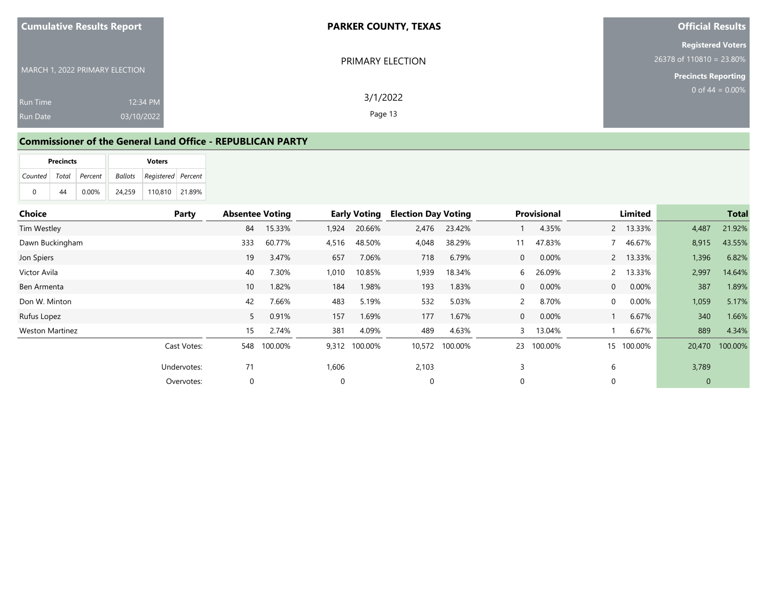| <b>Cumulative Results Report</b>                             | <b>PARKER COUNTY, TEXAS</b> | <b>Official Results</b>                                                            |
|--------------------------------------------------------------|-----------------------------|------------------------------------------------------------------------------------|
| MARCH 1, 2022 PRIMARY ELECTION                               | PRIMARY ELECTION            | <b>Registered Voters</b><br>26378 of 110810 = 23.80%<br><b>Precincts Reporting</b> |
| 12:34 PM<br><b>Run Time</b><br>03/10/2022<br><b>Run Date</b> | 3/1/2022<br>Page 13         | 0 of $44 = 0.00\%$                                                                 |

#### **Commissioner of the General Land Office - REPUBLICAN PARTY**

|                           | <b>Precincts</b> |          |        | <b>Voters</b>                     |         |
|---------------------------|------------------|----------|--------|-----------------------------------|---------|
| Counted   Total   Percent |                  |          |        | <b>Ballots</b> Registered Percent |         |
| 0                         | 44               | $0.00\%$ | 24.259 | 110.810                           | 121.89% |

| Choice                 | Party       | <b>Absentee Voting</b> |         |          | <b>Early Voting</b> | <b>Election Day Voting</b> |                |                | <b>Provisional</b> |                | Limited    |              | <b>Total</b>   |
|------------------------|-------------|------------------------|---------|----------|---------------------|----------------------------|----------------|----------------|--------------------|----------------|------------|--------------|----------------|
| Tim Westley            |             | 84                     | 15.33%  | 1,924    | 20.66%              | 2,476                      | 23.42%         |                | 4.35%              |                | 2 13.33%   | 4,487        | 21.92%         |
| Dawn Buckingham        |             | 333                    | 60.77%  | 4,516    | 48.50%              | 4,048                      | 38.29%         | 11             | 47.83%             |                | 7 46.67%   | 8,915        | 43.55%         |
| Jon Spiers             |             | 19                     | 3.47%   | 657      | 7.06%               | 718                        | 6.79%          | $\overline{0}$ | 0.00%              |                | 2 13.33%   | 1,396        | 6.82%          |
| Victor Avila           |             | 40                     | 7.30%   | 1,010    | 10.85%              | 1,939                      | 18.34%         | 6              | 26.09%             |                | 2 13.33%   | 2,997        | 14.64%         |
| Ben Armenta            |             | 10 <sup>°</sup>        | 1.82%   | 184      | 1.98%               | 193                        | 1.83%          | $\overline{0}$ | 0.00%              | $\overline{0}$ | $0.00\%$   | 387          | 1.89%          |
| Don W. Minton          |             | 42                     | 7.66%   | 483      | 5.19%               | 532                        | 5.03%          | $\overline{2}$ | 8.70%              | 0              | $0.00\%$   | 1,059        | 5.17%          |
| Rufus Lopez            |             | 5 <sup>1</sup>         | 0.91%   | 157      | 1.69%               | 177                        | 1.67%          | $\overline{0}$ | 0.00%              |                | 6.67%      | 340          | 1.66%          |
| <b>Weston Martinez</b> |             | 15                     | 2.74%   | 381      | 4.09%               | 489                        | 4.63%          | 3              | 13.04%             |                | 6.67%      | 889          | 4.34%          |
|                        | Cast Votes: | 548                    | 100.00% |          | 9,312 100.00%       |                            | 10,572 100.00% | 23             | 100.00%            |                | 15 100.00% |              | 20,470 100.00% |
|                        | Undervotes: | 71                     |         | 1,606    |                     | 2,103                      |                |                |                    | 6              |            | 3,789        |                |
|                        | Overvotes:  |                        |         | $\Omega$ |                     | 0                          |                | $\Omega$       |                    |                |            | $\mathbf{0}$ |                |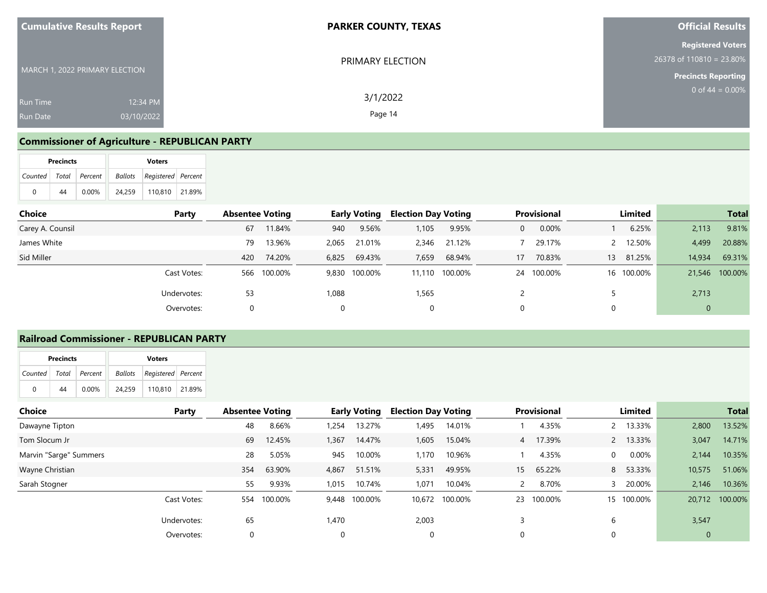| <b>Cumulative Results Report</b>                             | <b>PARKER COUNTY, TEXAS</b> | <b>Official Results</b>                                                              |
|--------------------------------------------------------------|-----------------------------|--------------------------------------------------------------------------------------|
| MARCH 1, 2022 PRIMARY ELECTION                               | PRIMARY ELECTION            | <b>Registered Voters</b><br>$26378$ of 110810 = 23.80%<br><b>Precincts Reporting</b> |
| 12:34 PM<br><b>Run Time</b><br>03/10/2022<br><b>Run Date</b> | 3/1/2022<br>Page 14         | 0 of 44 = $0.00\%$                                                                   |

## **Commissioner of Agriculture - REPUBLICAN PARTY**

|                       | <b>Precincts</b> |          |        | <b>Voters</b>              |        |
|-----------------------|------------------|----------|--------|----------------------------|--------|
| Counted Total Percent |                  |          |        | Ballots Registered Percent |        |
| 0                     | 44               | $0.00\%$ | 24.259 | 110.810                    | 21.89% |

| Choice           | Party       | <b>Absentee Voting</b> |         |       | <b>Early Voting</b> | <b>Election Day Voting</b> |                |    | <b>Provisional</b> | Limited    |             | <b>Total</b>   |
|------------------|-------------|------------------------|---------|-------|---------------------|----------------------------|----------------|----|--------------------|------------|-------------|----------------|
| Carey A. Counsil |             | 67                     | 11.84%  | 940   | 9.56%               | 1,105                      | 9.95%          | 0  | 0.00%              | 6.25%      | 2,113       | 9.81%          |
| James White      |             | 79                     | 13.96%  | 2,065 | 21.01%              | 2,346                      | 21.12%         |    | 29.17%             | 2 12.50%   | 4,499       | 20.88%         |
| Sid Miller       |             | 420                    | 74.20%  | 6,825 | 69.43%              | 7,659                      | 68.94%         | 17 | 70.83%             | 13 81.25%  | 14,934      | 69.31%         |
|                  | Cast Votes: | 566                    | 100.00% |       | 9,830 100.00%       |                            | 11,110 100.00% | 24 | 100.00%            | 16 100.00% |             | 21,546 100.00% |
|                  | Undervotes: | 53                     |         | 1,088 |                     | 1,565                      |                |    |                    |            | 2,713       |                |
|                  | Overvotes:  |                        |         |       |                     | 0                          |                | 0  |                    |            | $\mathbf 0$ |                |

### **Railroad Commissioner - REPUBLICAN PARTY**

|   | <b>Precincts</b> |                       |        | <b>Voters</b>              |  |
|---|------------------|-----------------------|--------|----------------------------|--|
|   |                  | Counted Total Percent |        | Ballots Registered Percent |  |
| 0 | 44               | $0.00\%$              | 24.259 | 110.810 21.89%             |  |

| <b>Choice</b>          | Party       | <b>Absentee Voting</b> |         |       | <b>Early Voting</b> | <b>Election Day Voting</b> |         |    | <b>Provisional</b> |                | Limited    |              | <b>Total</b>   |
|------------------------|-------------|------------------------|---------|-------|---------------------|----------------------------|---------|----|--------------------|----------------|------------|--------------|----------------|
| Dawayne Tipton         |             | 48                     | 8.66%   | 1.254 | 13.27%              | 1,495                      | 14.01%  |    | 4.35%              |                | 2 13.33%   | 2,800        | 13.52%         |
| Tom Slocum Jr          |             | 69                     | 12.45%  | 1,367 | 14.47%              | 1,605                      | 15.04%  | 4  | 17.39%             |                | 2 13.33%   | 3,047        | 14.71%         |
| Marvin "Sarge" Summers |             | 28                     | 5.05%   | 945   | 10.00%              | 1,170                      | 10.96%  |    | 4.35%              | $\overline{0}$ | $0.00\%$   | 2,144        | 10.35%         |
| Wayne Christian        |             | 354                    | 63.90%  | 4,867 | 51.51%              | 5,331                      | 49.95%  | 15 | 65.22%             |                | 8 53.33%   | 10,575       | 51.06%         |
| Sarah Stogner          |             | 55                     | 9.93%   | 1,015 | 10.74%              | 1,071                      | 10.04%  |    | 8.70%              |                | 20.00%     | 2,146        | 10.36%         |
|                        | Cast Votes: | 554                    | 100.00% | 9,448 | 100.00%             | 10,672                     | 100.00% | 23 | 100.00%            |                | 15 100.00% |              | 20,712 100.00% |
|                        | Undervotes: | 65                     |         | 1.470 |                     | 2,003                      |         |    |                    | 6              |            | 3,547        |                |
|                        | Overvotes:  |                        |         |       |                     | $\Omega$                   |         |    |                    | $\Omega$       |            | $\mathbf{0}$ |                |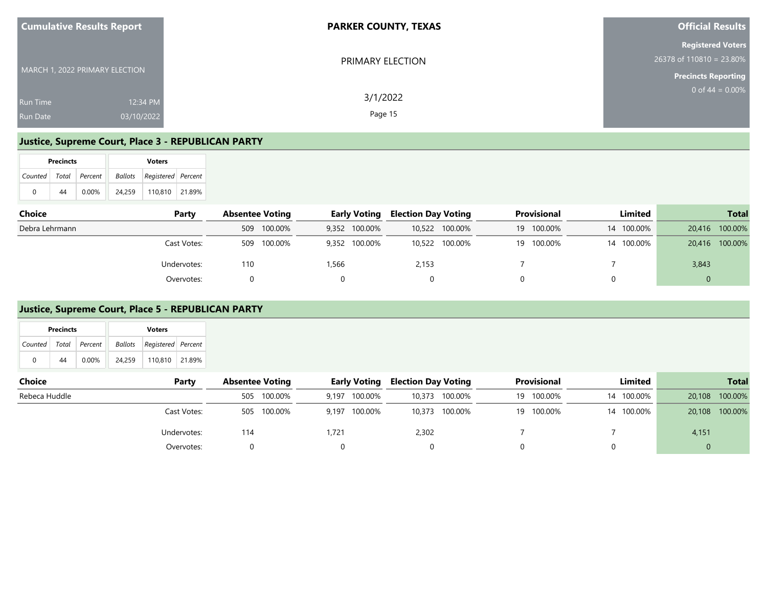| <b>Cumulative Results Report</b>                             | <b>PARKER COUNTY, TEXAS</b> | <b>Official Results</b>                                                              |
|--------------------------------------------------------------|-----------------------------|--------------------------------------------------------------------------------------|
| MARCH 1, 2022 PRIMARY ELECTION                               | PRIMARY ELECTION            | <b>Registered Voters</b><br>$26378$ of 110810 = 23.80%<br><b>Precincts Reporting</b> |
| 12:34 PM<br><b>Run Time</b><br>03/10/2022<br><b>Run Date</b> | 3/1/2022<br>Page 15         | 0 of $44 = 0.00\%$                                                                   |

#### **Justice, Supreme Court, Place 3 - REPUBLICAN PARTY**

|   | <b>Precincts</b> |                       |        | <b>Voters</b>              |  |
|---|------------------|-----------------------|--------|----------------------------|--|
|   |                  | Counted Total Percent |        | Ballots Registered Percent |  |
| 0 | 44               | $0.00\%$              | 24.259 | 110.810 21.89%             |  |

| <b>Choice</b><br>Party | <b>Absentee Voting</b> | <b>Early Voting</b> | <b>Election Day Voting</b> | Provisional   | Limited    | <b>Total</b>      |
|------------------------|------------------------|---------------------|----------------------------|---------------|------------|-------------------|
| Debra Lehrmann         | 509 100.00%            | 9,352 100.00%       | 10,522 100.00%             | 100.00%<br>19 | 14 100.00% | 100.00%<br>20,416 |
| Cast Votes:            | 100.00%<br>509         | 9,352 100.00%       | 10,522 100.00%             | 100.00%<br>19 | 14 100.00% | 20,416 100.00%    |
| Undervotes:            | 110                    | 1,566               | 2,153                      |               |            | 3,843             |
| Overvotes:             |                        |                     |                            |               |            |                   |

#### **Justice, Supreme Court, Place 5 - REPUBLICAN PARTY**

| <b>CHOICE</b> | rar LV      | ADSENTER VOLING | Edriv VOLING     | Election Day Voting | Provisional   | ыппеа      | TOLAI             |
|---------------|-------------|-----------------|------------------|---------------------|---------------|------------|-------------------|
| Rebeca Huddle |             | 100.00%<br>505  | 100.00%<br>9.197 | 10,373 100.00%      | 100.00%<br>19 | 14 100.00% | 100.00%<br>20,108 |
|               | Cast Votes: | 505 100.00%     | 100.00%<br>9,197 | 10,373 100.00%      | 100.00%<br>19 | 14 100.00% | 100.00%<br>20,108 |
|               | Undervotes: | 114             | 1.721            | 2,302               |               |            | 4,151             |
|               | Overvotes:  |                 |                  |                     |               |            |                   |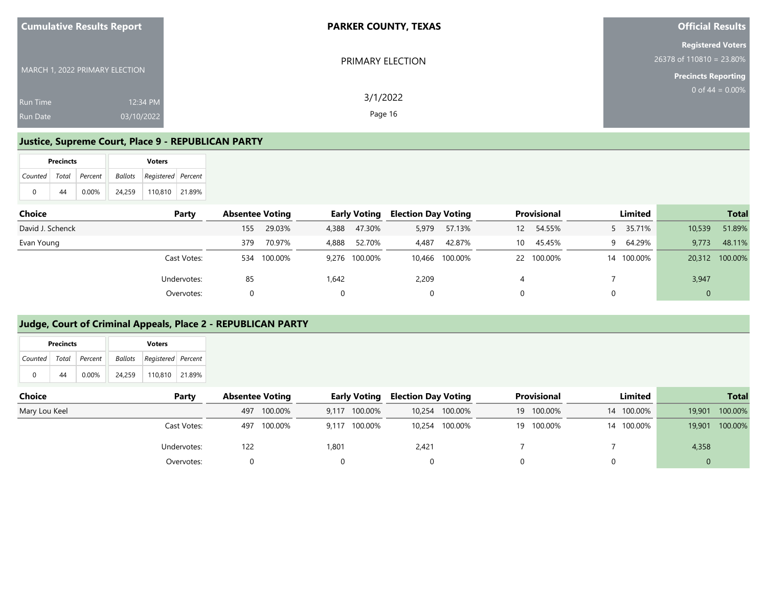| <b>Cumulative Results Report</b>   |                        | <b>PARKER COUNTY, TEXAS</b> | <b>Official Results</b>                                                            |
|------------------------------------|------------------------|-----------------------------|------------------------------------------------------------------------------------|
| MARCH 1, 2022 PRIMARY ELECTION     |                        | PRIMARY ELECTION            | <b>Registered Voters</b><br>26378 of 110810 = 23.80%<br><b>Precincts Reporting</b> |
| <b>Run Time</b><br><b>Run Date</b> | 12:34 PM<br>03/10/2022 | 3/1/2022<br>Page 16         | 0 of $44 = 0.00\%$                                                                 |

#### **Justice, Supreme Court, Place 9 - REPUBLICAN PARTY**

|   | <b>Precincts</b> |                       |        | <b>Voters</b>              |  |
|---|------------------|-----------------------|--------|----------------------------|--|
|   |                  | Counted Total Percent |        | Ballots Registered Percent |  |
| 0 | 44               | $0.00\%$              | 24.259 | 110.810 21.89%             |  |

| Choice           | Party       | <b>Absentee Voting</b> |         |       | <b>Early Voting</b> | <b>Election Day Voting</b> |                |                 | Provisional | Limited    |        | <b>Total</b> |
|------------------|-------------|------------------------|---------|-------|---------------------|----------------------------|----------------|-----------------|-------------|------------|--------|--------------|
| David J. Schenck |             | 155                    | 29.03%  | 4,388 | 47.30%              | 5,979                      | 57.13%         | 12 <sup>2</sup> | 54.55%      | 5 35.71%   | 10,539 | 51.89%       |
| Evan Young       |             | 379                    | 70.97%  | 4,888 | 52.70%              | 4,487                      | 42.87%         | 10              | 45.45%      | 9 64.29%   | 9.773  | 48.11%       |
|                  | Cast Votes: | 534                    | 100.00% |       | 9,276 100.00%       |                            | 10,466 100.00% | 22              | 100.00%     | 14 100.00% | 20,312 | 100.00%      |
|                  | Undervotes: | 85                     |         | 1.642 |                     | 2,209                      |                |                 |             |            | 3,947  |              |
|                  | Overvotes:  |                        |         | 0     |                     | 0                          |                |                 |             |            | 0      |              |

#### **Judge, Court of Criminal Appeals, Place 2 - REPUBLICAN PARTY**

|                       | <b>Precincts</b> |          |        | <b>Voters</b>                     |        |
|-----------------------|------------------|----------|--------|-----------------------------------|--------|
| Counted Total Percent |                  |          |        | <b>Ballots</b> Registered Percent |        |
| 0                     | 44               | $0.00\%$ | 24.259 | 110.810                           | 21.89% |

| <b>Choice</b><br>Party | <b>Absentee Voting</b> |         |       | <b>Early Voting</b> | <b>Election Day Voting</b> |                |    | <b>Provisional</b> | Limited    |        | <b>Total</b> |
|------------------------|------------------------|---------|-------|---------------------|----------------------------|----------------|----|--------------------|------------|--------|--------------|
| Mary Lou Keel          | 497                    | 100.00% |       | 9,117 100.00%       | 10.254                     | 100.00%        | 19 | 100.00%            | 14 100.00% | 19,901 | 100.00%      |
| Cast Votes:            | 497                    | 100.00% |       | 9,117 100.00%       |                            | 10,254 100.00% | 19 | 100.00%            | 14 100.00% | 19,901 | 100.00%      |
| Undervotes:            | 122                    |         | 1.801 |                     | 2.421                      |                |    |                    |            | 4,358  |              |
| Overvotes:             |                        |         |       |                     |                            |                |    |                    |            |        |              |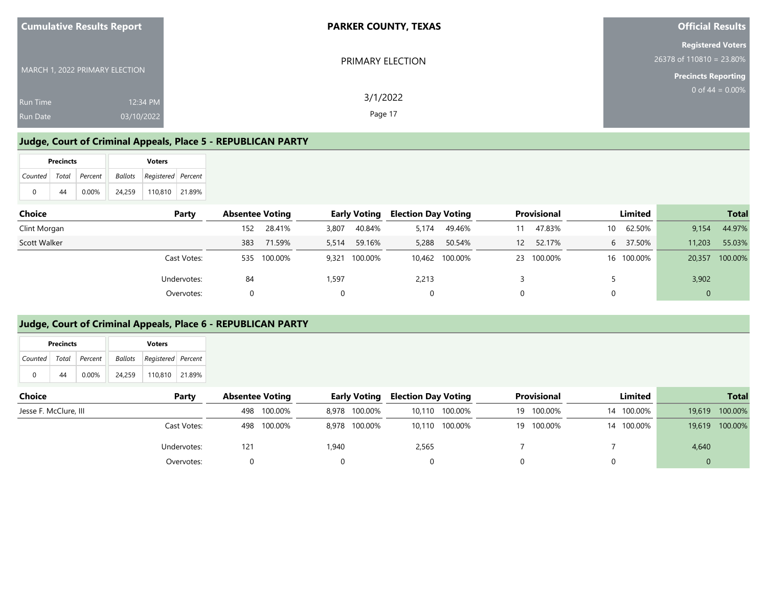| <b>Cumulative Results Report</b>                             | <b>PARKER COUNTY, TEXAS</b> | <b>Official Results</b>                                                            |
|--------------------------------------------------------------|-----------------------------|------------------------------------------------------------------------------------|
| MARCH 1, 2022 PRIMARY ELECTION                               | PRIMARY ELECTION            | <b>Registered Voters</b><br>26378 of 110810 = 23.80%<br><b>Precincts Reporting</b> |
| 12:34 PM<br><b>Run Time</b><br>03/10/2022<br><b>Run Date</b> | 3/1/2022<br>Page 17         | 0 of $44 = 0.00\%$                                                                 |

### **Judge, Court of Criminal Appeals, Place 5 - REPUBLICAN PARTY**

|   | <b>Precincts</b> |                       |        | <b>Voters</b>                     |  |
|---|------------------|-----------------------|--------|-----------------------------------|--|
|   |                  | Counted Total Percent |        | <b>Ballots</b> Registered Percent |  |
| 0 | 44               | $0.00\%$              | 24.259 | 110.810 21.89%                    |  |

| Choice              | Party       | <b>Absentee Voting</b> |         |       | <b>Early Voting</b> | <b>Election Day Voting</b> |                |                   | <b>Provisional</b> |    | Limited    |        | <b>Total</b> |
|---------------------|-------------|------------------------|---------|-------|---------------------|----------------------------|----------------|-------------------|--------------------|----|------------|--------|--------------|
| Clint Morgan        |             | 152                    | 28.41%  | 3,807 | 40.84%              | 5.174                      | 49.46%         |                   | 47.83%             | 10 | 62.50%     | 9,154  | 44.97%       |
| <b>Scott Walker</b> |             | 383                    | 71.59%  | 5,514 | 59.16%              | 5,288                      | 50.54%         | $12 \overline{ }$ | 52.17%             |    | 6 37.50%   | 11,203 | 55.03%       |
|                     | Cast Votes: | 535                    | 100.00% | 9,321 | 100.00%             |                            | 10,462 100.00% | 23                | 100.00%            |    | 16 100.00% | 20,357 | 100.00%      |
|                     | Undervotes: | 84                     |         | 1.597 |                     | 2.213                      |                |                   |                    |    |            | 3,902  |              |
|                     | Overvotes:  |                        |         |       |                     | 0                          |                |                   |                    |    |            |        |              |

#### **Judge, Court of Criminal Appeals, Place 6 - REPUBLICAN PARTY**

|                       | <b>Precincts</b> |          |        | <b>Voters</b>                  |  |
|-----------------------|------------------|----------|--------|--------------------------------|--|
| Counted Total Percent |                  |          |        | Ballots   Registered   Percent |  |
| 0                     | 44               | $0.00\%$ | 24.259 | 110,810   21.89%               |  |

| Choice                | Party       | <b>Absentee Voting</b> | <b>Early Voting</b> | <b>Election Day Voting</b> | <b>Provisional</b> | Limited    | <b>Total</b>      |
|-----------------------|-------------|------------------------|---------------------|----------------------------|--------------------|------------|-------------------|
| Jesse F. McClure, III |             | 498 100.00%            | 8,978 100.00%       | 10,110 100.00%             | 100.00%<br>19      | 14 100.00% | 100.00%<br>19,619 |
|                       | Cast Votes: | 498 100.00%            | 8,978 100.00%       | 10,110 100.00%             | 100.00%<br>19      | 14 100.00% | 100.00%<br>19,619 |
|                       | Undervotes: | 121                    | .940                | 2,565                      |                    |            | 4,640             |
|                       | Overvotes:  |                        |                     |                            |                    |            |                   |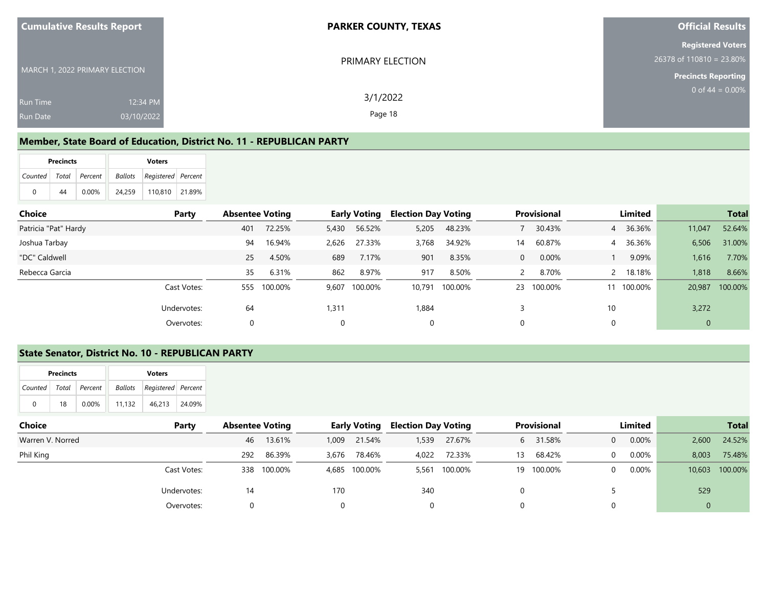| <b>Cumulative Results Report</b>                             | <b>PARKER COUNTY, TEXAS</b> | <b>Official Results</b>                                                              |
|--------------------------------------------------------------|-----------------------------|--------------------------------------------------------------------------------------|
| MARCH 1, 2022 PRIMARY ELECTION                               | PRIMARY ELECTION            | <b>Registered Voters</b><br>$26378$ of 110810 = 23.80%<br><b>Precincts Reporting</b> |
| 12:34 PM<br><b>Run Time</b><br>03/10/2022<br><b>Run Date</b> | 3/1/2022<br>Page 18         | 0 of 44 = $0.00\%$                                                                   |

#### **Member, State Board of Education, District No. 11 - REPUBLICAN PARTY**

|                       | <b>Precincts</b> |          |        | <b>Voters</b>                     |        |
|-----------------------|------------------|----------|--------|-----------------------------------|--------|
| Counted Total Percent |                  |          |        | <b>Ballots</b> Registered Percent |        |
| 0                     | 44               | $0.00\%$ | 24.259 | 110.810                           | 21.89% |

| Choice<br>Party      |     | <b>Absentee Voting</b> |          | <b>Early Voting</b> | <b>Election Day Voting</b> |         |    | <b>Provisional</b> |    | Limited  |              | <b>Total</b> |
|----------------------|-----|------------------------|----------|---------------------|----------------------------|---------|----|--------------------|----|----------|--------------|--------------|
| Patricia "Pat" Hardy | 401 | 72.25%                 | 5,430    | 56.52%              | 5,205                      | 48.23%  |    | 30.43%             |    | 4 36.36% | 11,047       | 52.64%       |
| Joshua Tarbay        | 94  | 16.94%                 | 2,626    | 27.33%              | 3,768                      | 34.92%  | 14 | 60.87%             |    | 4 36.36% | 6,506        | 31.00%       |
| "DC" Caldwell        | 25  | 4.50%                  | 689      | 7.17%               | 901                        | 8.35%   | 0  | 0.00%              |    | 9.09%    | 1,616        | 7.70%        |
| Rebecca Garcia       | 35  | 6.31%                  | 862      | 8.97%               | 917                        | 8.50%   | 2  | 8.70%              |    | 2 18.18% | 1,818        | 8.66%        |
| Cast Votes:          |     | 555 100.00%            |          | 9,607 100.00%       | 10.791                     | 100.00% | 23 | 100.00%            | 11 | 100.00%  | 20,987       | 100.00%      |
| Undervotes:          | 64  |                        | 1,311    |                     | 1,884                      |         |    |                    | 10 |          | 3,272        |              |
| Overvotes:           | 0   |                        | $\Omega$ |                     | 0                          |         |    |                    |    |          | $\mathbf{0}$ |              |

#### **State Senator, District No. 10 - REPUBLICAN PARTY**

|                           | <b>Precincts</b> |          |        | <b>Voters</b>              |        |
|---------------------------|------------------|----------|--------|----------------------------|--------|
| Counted   Total   Percent |                  |          |        | Ballots Registered Percent |        |
| 0                         | 18               | $0.00\%$ | 11.132 | 46.213                     | 24.09% |

| Choice           | Party       | <b>Absentee Voting</b> |         |       | <b>Early Voting</b> |       | <b>Election Day Voting</b> | <b>Provisional</b> |         | Limited  |          |                | <b>Total</b>   |
|------------------|-------------|------------------------|---------|-------|---------------------|-------|----------------------------|--------------------|---------|----------|----------|----------------|----------------|
| Warren V. Norred |             | 46                     | 13.61%  | 1,009 | 21.54%              | 1,539 | 27.67%                     | 6                  | 31.58%  | $\Omega$ | 0.00%    | 2,600          | 24.52%         |
| Phil King        |             | 292                    | 86.39%  | 3,676 | 78.46%              | 4.022 | 72.33%                     | 13                 | 68.42%  | $\Omega$ | 0.00%    | 8,003          | 75.48%         |
|                  | Cast Votes: | 338                    | 100.00% |       | 4,685 100.00%       | 5,561 | 100.00%                    | 19                 | 100.00% | $\Omega$ | $0.00\%$ |                | 10,603 100.00% |
| Undervotes:      |             | 14                     |         | 170   |                     | 340   |                            |                    |         |          |          | 529            |                |
|                  | Overvotes:  |                        |         |       |                     |       |                            |                    |         |          |          | $\overline{0}$ |                |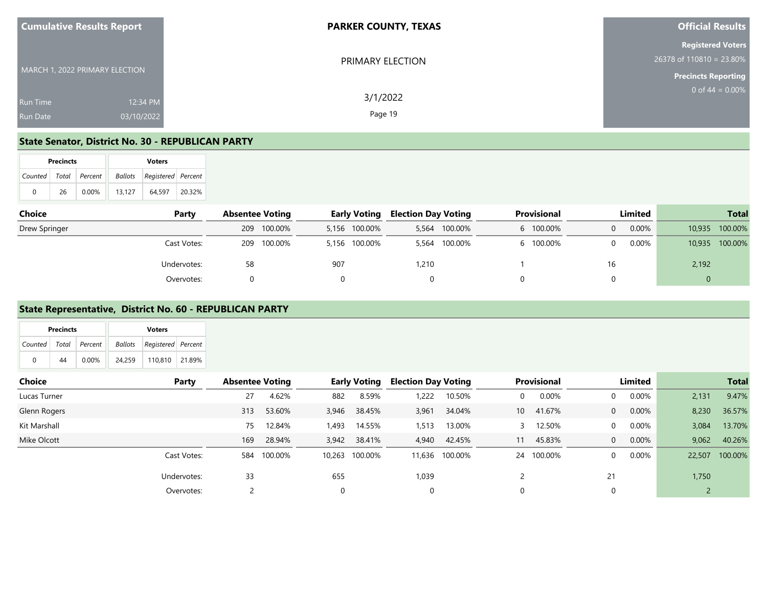| <b>Cumulative Results Report</b>                             | <b>PARKER COUNTY, TEXAS</b> | <b>Official Results</b>                                                              |
|--------------------------------------------------------------|-----------------------------|--------------------------------------------------------------------------------------|
| MARCH 1, 2022 PRIMARY ELECTION                               | PRIMARY ELECTION            | <b>Registered Voters</b><br>$26378$ of 110810 = 23.80%<br><b>Precincts Reporting</b> |
| 12:34 PM<br><b>Run Time</b><br>03/10/2022<br><b>Run Date</b> | 3/1/2022<br>Page 19         | 0 of $44 = 0.00\%$                                                                   |

#### **State Senator, District No. 30 - REPUBLICAN PARTY**

|          | <b>Precincts</b>      |          |  | <b>Voters</b> |                                   |        |  |  |  |  |  |
|----------|-----------------------|----------|--|---------------|-----------------------------------|--------|--|--|--|--|--|
|          | Counted Total Percent |          |  |               | <b>Ballots</b> Registered Percent |        |  |  |  |  |  |
| $\Omega$ | 26                    | $0.00\%$ |  | 13.127        | 64.597                            | 20.32% |  |  |  |  |  |

| <b>Choice</b><br>Party |  | <b>Absentee Voting</b> |             | <b>Early Voting</b> |               | <b>Election Day Voting</b> |               | <b>Provisional</b> |    | Limited  |        | <b>Total</b> |
|------------------------|--|------------------------|-------------|---------------------|---------------|----------------------------|---------------|--------------------|----|----------|--------|--------------|
| Drew Springer          |  |                        | 209 100.00% |                     | 5,156 100.00% | 5,564                      | 100.00%       | 100.00%            |    | $0.00\%$ | 10.935 | 100.00%      |
| Cast Votes:            |  | 209                    | 100.00%     |                     | 5,156 100.00% |                            | 5,564 100.00% | 100.00%            |    | 0.00%    | 10,935 | 100.00%      |
| Undervotes:            |  | 58                     |             | 907                 |               | 1,210                      |               |                    | 16 |          | 2,192  |              |
| Overvotes:             |  |                        |             |                     |               |                            |               |                    |    |          | 0      |              |

#### **State Representative, District No. 60 - REPUBLICAN PARTY**

| 110,810 21.89%<br>24,259<br>0.00%<br>44 | Ballots<br>Registered Percent<br>Total Percent<br>Counted | <b>Choice</b> |  |  | Party | <b>Absentee Voting</b> | <b>Early Voting</b> | <b>Election Day Voting</b> | Provisional | Limited |
|-----------------------------------------|-----------------------------------------------------------|---------------|--|--|-------|------------------------|---------------------|----------------------------|-------------|---------|
|                                         |                                                           |               |  |  |       |                        |                     |                            |             |         |

|              |             |     |             |       | $\overline{\phantom{a}}$ |       |                |                 |            |                |          |       |                |
|--------------|-------------|-----|-------------|-------|--------------------------|-------|----------------|-----------------|------------|----------------|----------|-------|----------------|
| Lucas Turner |             | 27  | 4.62%       | 882   | 8.59%                    | 1,222 | 10.50%         | $\Omega$        | 0.00%      | $\overline{0}$ | 0.00%    | 2,131 | 9.47%          |
| Glenn Rogers |             | 313 | 53.60%      | 3,946 | 38.45%                   | 3,961 | 34.04%         | 10 <sup>°</sup> | 41.67%     | $\overline{0}$ | $0.00\%$ | 8,230 | 36.57%         |
| Kit Marshall |             | 75  | 12.84%      | ,493  | 14.55%                   | 1,513 | 13.00%         |                 | 12.50%     | $\mathbf{0}$   | $0.00\%$ | 3,084 | 13.70%         |
| Mike Olcott  |             | 169 | 28.94%      | 3,942 | 38.41%                   |       | 4,940 42.45%   | 11              | 45.83%     | $\overline{0}$ | $0.00\%$ | 9,062 | 40.26%         |
|              | Cast Votes: |     | 584 100.00% |       | 10,263 100.00%           |       | 11,636 100.00% |                 | 24 100.00% | $\mathbf{0}$   | $0.00\%$ |       | 22,507 100.00% |
|              | Undervotes: | 33  |             | 655   |                          | 1,039 |                |                 |            | 21             |          | 1,750 |                |
|              | Overvotes:  |     |             |       |                          | 0     |                |                 |            | $\Omega$       |          |       |                |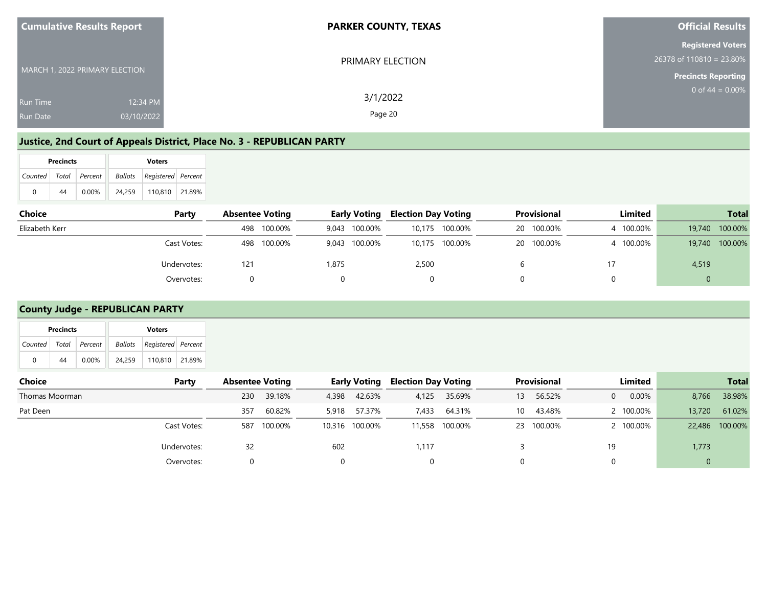| <b>Cumulative Results Report</b>                             | <b>PARKER COUNTY, TEXAS</b> | <b>Official Results</b>                                                              |
|--------------------------------------------------------------|-----------------------------|--------------------------------------------------------------------------------------|
| MARCH 1, 2022 PRIMARY ELECTION                               | PRIMARY ELECTION            | <b>Registered Voters</b><br>$26378$ of 110810 = 23.80%<br><b>Precincts Reporting</b> |
| 12:34 PM<br><b>Run Time</b><br>03/10/2022<br><b>Run Date</b> | 3/1/2022<br>Page 20         | 0 of 44 = $0.00\%$                                                                   |

#### **Justice, 2nd Court of Appeals District, Place No. 3 - REPUBLICAN PARTY**

|   | <b>Precincts</b> |                       | <b>Voters</b> |                            |  |  |  |  |  |  |
|---|------------------|-----------------------|---------------|----------------------------|--|--|--|--|--|--|
|   |                  | Counted Total Percent |               | Ballots Registered Percent |  |  |  |  |  |  |
| 0 | 44               | $0.00\%$              | 24.259        | 110,810 21.89%             |  |  |  |  |  |  |

| <b>Choice</b>  | Party       | <b>Absentee Voting</b> |             |       | <b>Early Voting</b> | <b>Election Day Voting</b> |                |    | Provisional | Limited   |        | <b>Total</b> |
|----------------|-------------|------------------------|-------------|-------|---------------------|----------------------------|----------------|----|-------------|-----------|--------|--------------|
| Elizabeth Kerr |             |                        | 498 100.00% |       | 9,043 100.00%       |                            | 10,175 100.00% | 20 | 100.00%     | 4 100.00% | 19,740 | 100.00%      |
|                | Cast Votes: |                        | 498 100.00% |       | 9,043 100.00%       |                            | 10,175 100.00% |    | 20 100.00%  | 4 100.00% | 19,740 | 100.00%      |
|                | Undervotes: | 121                    |             | 1,875 |                     | 2,500                      |                |    |             |           | 4,519  |              |
|                | Overvotes:  |                        |             |       |                     |                            |                |    |             |           |        |              |

### **County Judge - REPUBLICAN PARTY**

|         | <b>Precincts</b> |          |         | <b>Voters</b>      |        |
|---------|------------------|----------|---------|--------------------|--------|
| Counted | Total            | Percent  | Ballots | Registered Percent |        |
|         | -44              | $0.00\%$ | 24,259  | 110,810            | 21.89% |
| Choice  |                  |          |         |                    | Party  |

| Choice         | Party       | Absentee Voting |         |       | <b>Larly Voting</b> | Election Day Voting |                |    | <b>Provisional</b> |    | Limited   |        | Total          |
|----------------|-------------|-----------------|---------|-------|---------------------|---------------------|----------------|----|--------------------|----|-----------|--------|----------------|
| Thomas Moorman |             | 230             | 39.18%  | 4,398 | 42.63%              | 4,125               | 35.69%         | 13 | 56.52%             | 0  | $0.00\%$  | 8,766  | 38.98%         |
| Pat Deen       |             | 357             | 60.82%  | 5,918 | 57.37%              | 7,433               | 64.31%         | 10 | 43.48%             |    | 2 100.00% | 13,720 | 61.02%         |
|                | Cast Votes: | 587             | 100.00% |       | 10,316 100.00%      |                     | 11,558 100.00% |    | 23 100.00%         |    | 2 100.00% |        | 22,486 100.00% |
|                | Undervotes: | 32              |         | 602   |                     | 1.117               |                |    |                    | 19 |           | 1,773  |                |
|                | Overvotes:  |                 |         |       |                     |                     |                |    |                    |    |           |        |                |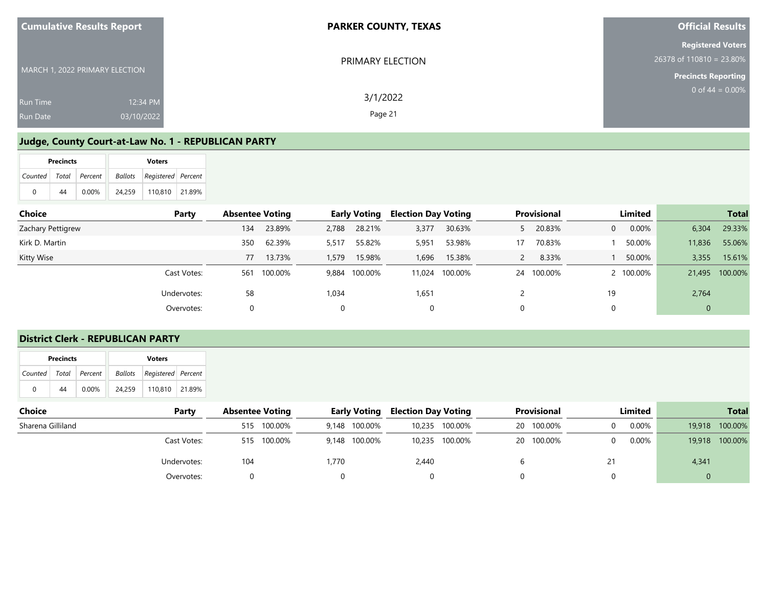| <b>Cumulative Results Report</b>   |                        | <b>PARKER COUNTY, TEXAS</b> | <b>Official Results</b>                                                            |
|------------------------------------|------------------------|-----------------------------|------------------------------------------------------------------------------------|
| MARCH 1, 2022 PRIMARY ELECTION     |                        | PRIMARY ELECTION            | <b>Registered Voters</b><br>26378 of 110810 = 23.80%<br><b>Precincts Reporting</b> |
| <b>Run Time</b><br><b>Run Date</b> | 12:34 PM<br>03/10/2022 | 3/1/2022<br>Page 21         | 0 of $44 = 0.00\%$                                                                 |

#### **Judge, County Court-at-Law No. 1 - REPUBLICAN PARTY**

|                       | <b>Precincts</b> |          |         | <b>Voters</b>      |  |
|-----------------------|------------------|----------|---------|--------------------|--|
| Counted Total Percent |                  |          | Ballots | Registered Percent |  |
| 0                     | 44               | $0.00\%$ | 24.259  | 110.810   21.89%   |  |

| <b>Choice</b>     | Party       | <b>Absentee Voting</b> |         |       | <b>Early Voting</b> | <b>Election Day Voting</b> |                |            | <b>Provisional</b> |                | Limited   |        | <b>Total</b>   |
|-------------------|-------------|------------------------|---------|-------|---------------------|----------------------------|----------------|------------|--------------------|----------------|-----------|--------|----------------|
| Zachary Pettigrew |             | 134                    | 23.89%  | 2,788 | 28.21%              | 3,377                      | 30.63%         |            | 20.83%             | $\overline{0}$ | 0.00%     | 6,304  | 29.33%         |
| Kirk D. Martin    |             | 350                    | 62.39%  | 5,517 | 55.82%              | 5,951                      | 53.98%         | 17         | 70.83%             |                | 50.00%    | 11,836 | 55.06%         |
| Kitty Wise        |             | 77                     | 13.73%  | 1,579 | 15.98%              | 1,696                      | 15.38%         | $\epsilon$ | 8.33%              |                | 50.00%    | 3,355  | 15.61%         |
|                   | Cast Votes: | 561                    | 100.00% | 9,884 | 100.00%             |                            | 11,024 100.00% | 24         | 100.00%            |                | 2 100.00% |        | 21,495 100.00% |
|                   | Undervotes: | 58                     |         | 1,034 |                     | 1,651                      |                |            |                    | 19             |           | 2,764  |                |
|                   | Overvotes:  |                        |         |       |                     | 0                          |                |            |                    | 0              |           | 0      |                |

### **District Clerk - REPUBLICAN PARTY**

|                           | <b>Precincts</b> |          |  |         | <b>Voters</b>      |  |  |  |  |  |  |
|---------------------------|------------------|----------|--|---------|--------------------|--|--|--|--|--|--|
| Counted   Total   Percent |                  |          |  | Ballots | Registered Percent |  |  |  |  |  |  |
| 0                         | 44               | $0.00\%$ |  | 24.259  | 110.810 21.89%     |  |  |  |  |  |  |

| <b>Choice</b><br>Party | <b>Absentee Voting</b> |         |       | <b>Early Voting</b> | <b>Election Day Voting</b> |                |    | <b>Provisional</b> | Limited  |        | <b>Total</b> |
|------------------------|------------------------|---------|-------|---------------------|----------------------------|----------------|----|--------------------|----------|--------|--------------|
| Sharena Gilliland      | 515                    | 100.00% | 9.148 | 100.00%             | 10,235                     | 100.00%        | 20 | 100.00%            | 0.00%    | 19,918 | 100.00%      |
| Cast Votes:            | 515                    | 100.00% |       | 9,148 100.00%       |                            | 10,235 100.00% |    | 20 100.00%         | $0.00\%$ | 19,918 | 100.00%      |
| Undervotes:            | 104                    |         | 1.770 |                     | 2,440                      |                |    |                    |          | 4,341  |              |
| Overvotes:             |                        |         |       |                     |                            |                |    |                    |          |        |              |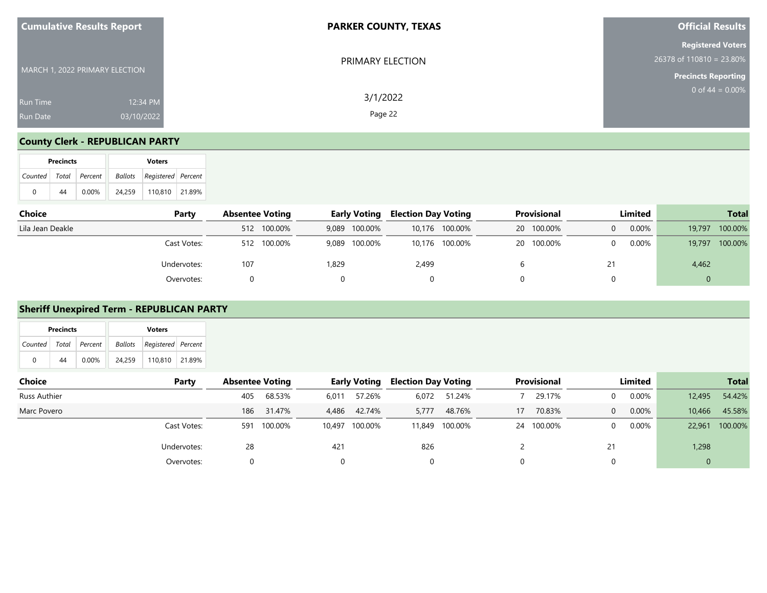| <b>Cumulative Results Report</b>                             | <b>PARKER COUNTY, TEXAS</b> | <b>Official Results</b>                                                              |
|--------------------------------------------------------------|-----------------------------|--------------------------------------------------------------------------------------|
| MARCH 1, 2022 PRIMARY ELECTION                               | PRIMARY ELECTION            | <b>Registered Voters</b><br>$26378$ of 110810 = 23.80%<br><b>Precincts Reporting</b> |
| 12:34 PM<br><b>Run Time</b><br>03/10/2022<br><b>Run Date</b> | 3/1/2022<br>Page 22         | 0 of $44 = 0.00\%$                                                                   |

#### **County Clerk - REPUBLICAN PARTY**

|          | <b>Precincts</b> |                           |  |        | <b>Voters</b>                     |  |  |  |  |  |  |
|----------|------------------|---------------------------|--|--------|-----------------------------------|--|--|--|--|--|--|
|          |                  | Counted   Total   Percent |  |        | <b>Ballots</b> Registered Percent |  |  |  |  |  |  |
| $\Omega$ | 44               | $0.00\%$                  |  | 24.259 | 110,810 21.89%                    |  |  |  |  |  |  |

| <b>Choice</b><br>Party | <b>Absentee Voting</b> | <b>Early Voting</b> | <b>Election Day Voting</b> | <b>Provisional</b> | Limited       | <b>Total</b>      |
|------------------------|------------------------|---------------------|----------------------------|--------------------|---------------|-------------------|
| Lila Jean Deakle       | 512 100.00%            | 9,089 100.00%       | 10,176 100.00%             | 20 100.00%         | $0.00\%$<br>0 | 100.00%<br>19,797 |
| Cast Votes:            | 512 100.00%            | 9,089 100.00%       | 10,176 100.00%             | 20 100.00%         | 0.00%<br>0    | 100.00%<br>19,797 |
| Undervotes:            | 107                    | 1,829               | 2,499                      |                    | 21            | 4,462             |
| Overvotes:             |                        |                     |                            |                    |               | ◡                 |

#### **Sheriff Unexpired Term - REPUBLICAN PARTY**

|               | Precincts    |         |                | <b>Voters</b>      |        |                        |        |       |                     |                            |        |    |             |         |  |        |
|---------------|--------------|---------|----------------|--------------------|--------|------------------------|--------|-------|---------------------|----------------------------|--------|----|-------------|---------|--|--------|
| Counted       | Total        | Percent | <b>Ballots</b> | Registered Percent |        |                        |        |       |                     |                            |        |    |             |         |  |        |
|               |              |         |                |                    |        |                        |        |       |                     |                            |        |    |             |         |  |        |
|               | 44           | 0.00%   | 24,259         | 110,810            | 21.89% |                        |        |       |                     |                            |        |    |             |         |  |        |
| <b>Choice</b> |              |         |                |                    | Party  | <b>Absentee Voting</b> |        |       | <b>Early Voting</b> | <b>Election Day Voting</b> |        |    | Provisional | Limited |  |        |
|               | Russ Authier |         |                |                    |        | 405                    | 68.53% | 6,011 | 57.26%              | 6,072                      | 51.24% |    | 29.17%      | 0.00%   |  | 12,495 |
| Marc Povero   |              |         |                |                    |        | 186                    | 31.47% | 4,486 | 42.74%              | 5,777                      | 48.76% | 17 | 70.83%      | 0.00%   |  | 10,466 |

Cast Votes: 591 100.00% 10,497 100.00% 11,849 100.00% 24 100.00% 0 0.00% 22,961 100.00%

Undervotes: 28 421 826 2 21 1,298 Overvotes: 0 0 0 0 0 0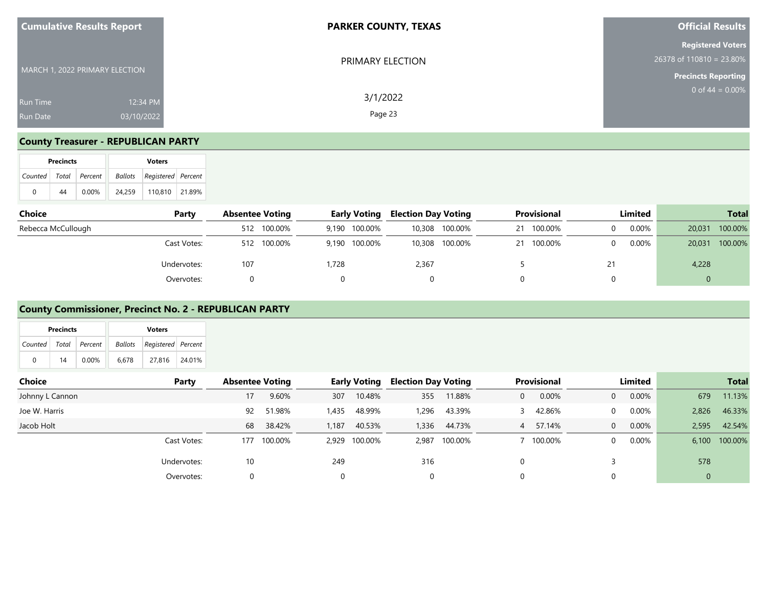| <b>Cumulative Results Report</b>          | <b>PARKER COUNTY, TEXAS</b>     | <b>Official Results</b>                                                              |
|-------------------------------------------|---------------------------------|--------------------------------------------------------------------------------------|
| MARCH 1, 2022 PRIMARY ELECTION            | PRIMARY ELECTION                | <b>Registered Voters</b><br>$26378$ of 110810 = 23.80%<br><b>Precincts Reporting</b> |
| <b>Run Time</b><br>03/10/2022<br>Run Date | 3/1/2022<br>12:34 PM<br>Page 23 | 0 of $44 = 0.00\%$                                                                   |

#### **County Treasurer - REPUBLICAN PARTY**

|                       | <b>Precincts</b> |       | <b>Voters</b> |                                   |  |  |  |  |  |  |
|-----------------------|------------------|-------|---------------|-----------------------------------|--|--|--|--|--|--|
| Counted Total Percent |                  |       |               | <b>Ballots Registered</b> Percent |  |  |  |  |  |  |
| 0                     | 44               | 0.00% | 24.259        | 110.810 21.89%                    |  |  |  |  |  |  |

| Choice<br>Party    | <b>Absentee Voting</b> |             |       | <b>Early Voting</b> | <b>Election Day Voting</b> |                |    | <b>Provisional</b> | Limited |        | <b>Total</b> |
|--------------------|------------------------|-------------|-------|---------------------|----------------------------|----------------|----|--------------------|---------|--------|--------------|
| Rebecca McCullough |                        | 512 100.00% |       | 9,190 100.00%       |                            | 10,308 100.00% | 21 | 100.00%            | 0.00%   | 20,031 | 100.00%      |
| Cast Votes:        |                        | 512 100.00% |       | 9,190 100.00%       |                            | 10,308 100.00% | 21 | 100.00%            | 0.00%   | 20,031 | 100.00%      |
| Undervotes:        | 107                    |             | 1.728 |                     | 2,367                      |                |    |                    |         | 4,228  |              |
| Overvotes:         |                        |             |       |                     |                            |                |    |                    |         | 0      |              |

#### **County Commissioner, Precinct No. 2 - REPUBLICAN PARTY**

|   | <b>Precincts</b>      |          | <b>Voters</b> |                                   |        |  |  |  |  |  |
|---|-----------------------|----------|---------------|-----------------------------------|--------|--|--|--|--|--|
|   | Counted Total Percent |          |               | <b>Ballots</b> Registered Percent |        |  |  |  |  |  |
| 0 | 14                    | $0.00\%$ | 6.678         | 27.816                            | 24.01% |  |  |  |  |  |

| Choice          | Party       | <b>Absentee Voting</b> |         |          | <b>Early Voting</b> | <b>Election Day Voting</b> |               |          | <b>Provisional</b> |                | Limited  |              | <b>Total</b> |
|-----------------|-------------|------------------------|---------|----------|---------------------|----------------------------|---------------|----------|--------------------|----------------|----------|--------------|--------------|
| Johnny L Cannon |             | 17                     | 9.60%   | 307      | 10.48%              | 355                        | 11.88%        | $\Omega$ | 0.00%              | 0              | 0.00%    | 679          | 11.13%       |
| Joe W. Harris   |             | 92                     | 51.98%  | 1,435    | 48.99%              | 1,296                      | 43.39%        |          | 42.86%             | 0              | 0.00%    | 2,826        | 46.33%       |
| Jacob Holt      |             | 68                     | 38.42%  | 1,187    | 40.53%              | 1.336                      | 44.73%        |          | 4 57.14%           | $\overline{0}$ | 0.00%    | 2.595        | 42.54%       |
|                 | Cast Votes: | 177                    | 100.00% |          | 2,929 100.00%       |                            | 2,987 100.00% |          | 100.00%            | 0              | $0.00\%$ | 6.100        | 100.00%      |
|                 | Undervotes: | 10                     |         | 249      |                     | 316                        |               |          |                    |                |          | 578          |              |
|                 | Overvotes:  |                        |         | $\Omega$ |                     | 0                          |               |          |                    |                |          | $\mathbf{0}$ |              |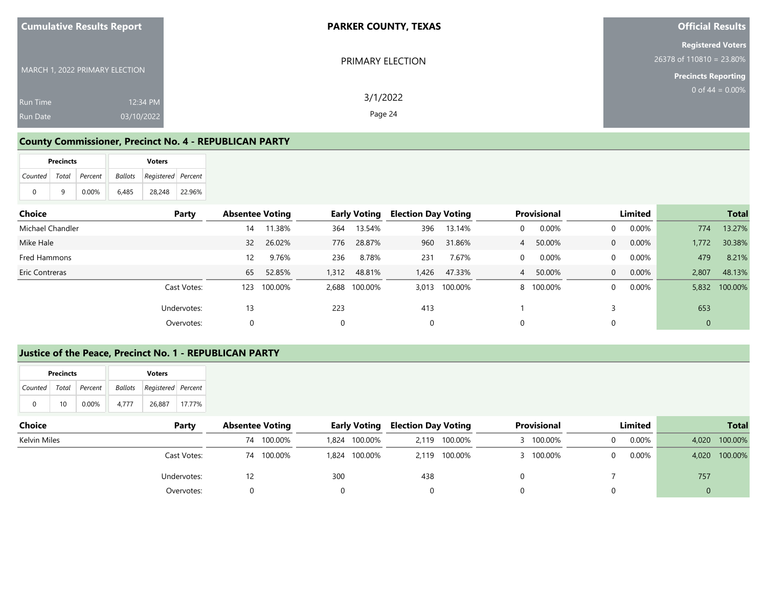| <b>Cumulative Results Report</b>                             | <b>PARKER COUNTY, TEXAS</b> | <b>Official Results</b>                                                            |
|--------------------------------------------------------------|-----------------------------|------------------------------------------------------------------------------------|
| MARCH 1, 2022 PRIMARY ELECTION                               | PRIMARY ELECTION            | <b>Registered Voters</b><br>26378 of 110810 = 23.80%<br><b>Precincts Reporting</b> |
| 12:34 PM<br><b>Run Time</b><br>03/10/2022<br><b>Run Date</b> | 3/1/2022<br>Page 24         | 0 of $44 = 0.00\%$                                                                 |

#### **County Commissioner, Precinct No. 4 - REPUBLICAN PARTY**

|                       | <b>Precincts</b><br><b>Voters</b> |          |       |                                |        |  |  |
|-----------------------|-----------------------------------|----------|-------|--------------------------------|--------|--|--|
| Counted Total Percent |                                   |          |       | Ballots   Registered   Percent |        |  |  |
| 0                     | q                                 | $0.00\%$ | 6.485 | 28.248                         | 22.96% |  |  |

| Choice           | Party | <b>Absentee Voting</b> |         |       | <b>Early Voting</b> | <b>Election Day Voting</b> |         |             | <b>Provisional</b> |                | Limited  |              | <b>Total</b>  |
|------------------|-------|------------------------|---------|-------|---------------------|----------------------------|---------|-------------|--------------------|----------------|----------|--------------|---------------|
| Michael Chandler |       | 14                     | 11.38%  | 364   | 13.54%              | 396                        | 13.14%  | $\mathbf 0$ | 0.00%              | $\Omega$       | 0.00%    | 774          | 13.27%        |
| Mike Hale        |       | 32                     | 26.02%  | 776   | 28.87%              | 960                        | 31.86%  | 4           | 50.00%             | $\overline{0}$ | $0.00\%$ | 1,772        | 30.38%        |
| Fred Hammons     |       | 12                     | 9.76%   | 236   | 8.78%               | 231                        | 7.67%   | $\Omega$    | 0.00%              | $\Omega$       | $0.00\%$ | 479          | 8.21%         |
| Eric Contreras   |       | 65                     | 52.85%  | 1,312 | 48.81%              | 1,426                      | 47.33%  | 4           | 50.00%             | $\overline{0}$ | $0.00\%$ | 2,807        | 48.13%        |
| Cast Votes:      |       | 123                    | 100.00% | 2,688 | 100.00%             | 3.013                      | 100.00% |             | 8 100.00%          | $\Omega$       | 0.00%    |              | 5,832 100.00% |
| Undervotes:      |       | 13                     |         | 223   |                     | 413                        |         |             |                    |                |          | 653          |               |
| Overvotes:       |       |                        |         |       |                     | 0                          |         | $\Omega$    |                    |                |          | $\mathbf{0}$ |               |

#### **Justice of the Peace, Precinct No. 1 - REPUBLICAN PARTY**

|                           | <b>Precincts</b> |          |       | <b>Voters</b>              |        |
|---------------------------|------------------|----------|-------|----------------------------|--------|
| Counted   Total   Percent |                  |          |       | Ballots Registered Percent |        |
| $\Omega$                  | 10               | $0.00\%$ | 4.777 | 26.887                     | 17.77% |

| <b>Choice</b> | Party       | <b>Absentee Voting</b> |         | <b>Early Voting</b> |               | <b>Election Day Voting</b> |               | <b>Provisional</b> |           | Limited |          | <b>Total</b> |         |
|---------------|-------------|------------------------|---------|---------------------|---------------|----------------------------|---------------|--------------------|-----------|---------|----------|--------------|---------|
| Kelvin Miles  |             | 74                     | 100.00% | ـ 824, ا            | 100.00%       | 2.119                      | 100.00%       |                    | 3 100.00% |         | 0.00%    | 4,020        | 100.00% |
|               | Cast Votes: | 74                     | 100.00% |                     | 1,824 100.00% |                            | 2,119 100.00% |                    | 3 100.00% |         | $0.00\%$ | 4,020        | 100.00% |
|               | Undervotes: | 12                     |         | 300                 |               | 438                        |               |                    |           |         |          | 757          |         |
|               | Overvotes:  |                        |         |                     |               |                            |               |                    |           |         |          |              |         |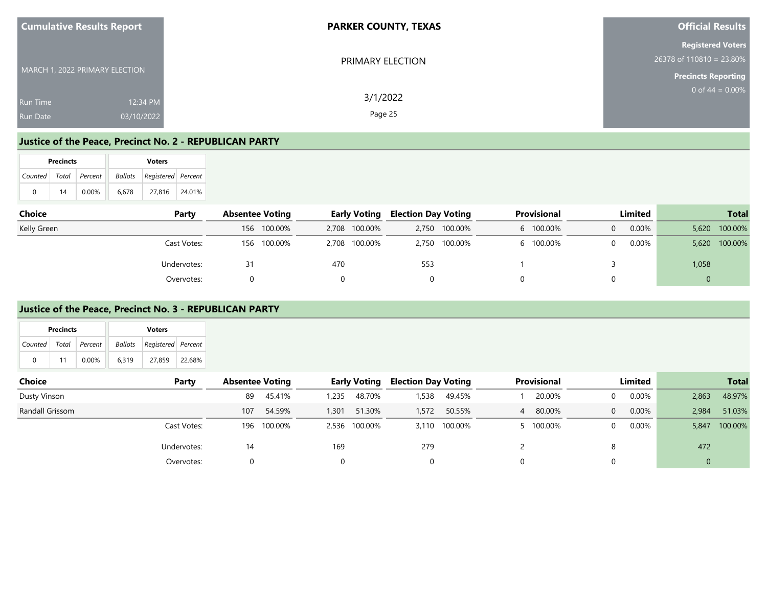| <b>Cumulative Results Report</b>                             | <b>PARKER COUNTY, TEXAS</b> | <b>Official Results</b>                                                              |
|--------------------------------------------------------------|-----------------------------|--------------------------------------------------------------------------------------|
| MARCH 1, 2022 PRIMARY ELECTION                               | PRIMARY ELECTION            | <b>Registered Voters</b><br>$26378$ of 110810 = 23.80%<br><b>Precincts Reporting</b> |
| 12:34 PM<br><b>Run Time</b><br>03/10/2022<br><b>Run Date</b> | 3/1/2022<br>Page 25         | $0$ of 44 = 0.00%                                                                    |

#### **Justice of the Peace, Precinct No. 2 - REPUBLICAN PARTY**

|          | <b>Precincts</b> |                       | <b>Voters</b> |                            |        |  |  |  |  |
|----------|------------------|-----------------------|---------------|----------------------------|--------|--|--|--|--|
|          |                  | Counted Total Percent |               | Ballots Registered Percent |        |  |  |  |  |
| $\Omega$ | 14               | $0.00\%$              | 6.678         | 27.816                     | 24.01% |  |  |  |  |

| Choice      | Party       | <b>Absentee Voting</b> |             |     | <b>Early Voting</b> |     | <b>Election Day Voting</b> | Provisional |         | <b>Limited</b> |          | <b>Total</b> |         |
|-------------|-------------|------------------------|-------------|-----|---------------------|-----|----------------------------|-------------|---------|----------------|----------|--------------|---------|
| Kelly Green |             |                        | 156 100.00% |     | 2,708 100.00%       |     | 2,750 100.00%              |             | 100.00% |                | $0.00\%$ | 5.620        | 100.00% |
|             | Cast Votes: |                        | 156 100.00% |     | 2,708 100.00%       |     | 2,750 100.00%              |             | 100.00% |                | 0.00%    | 5,620        | 100.00% |
|             | Undervotes: |                        |             | 470 |                     | 553 |                            |             |         |                |          | 1,058        |         |
|             | Overvotes:  |                        |             |     |                     |     |                            |             |         |                |          |              |         |

#### **Justice of the Peace, Precinct No. 3 - REPUBLICAN PARTY**

|               | <b>Precincts</b> |          |         | <b>Voters</b>      |        |                        |  |                                                        |
|---------------|------------------|----------|---------|--------------------|--------|------------------------|--|--------------------------------------------------------|
| Counted       | Total            | Percent  | Ballots | Registered Percent |        |                        |  |                                                        |
| $\Omega$      |                  | $0.00\%$ |         |                    |        |                        |  |                                                        |
|               |                  |          | 6,319   | 27,859             | 22.68% |                        |  |                                                        |
|               |                  |          |         |                    |        |                        |  |                                                        |
| <b>Choice</b> |                  |          |         |                    | Party  | <b>Absentee Voting</b> |  | Provisional<br><b>Early Voting Election Day Voting</b> |
|               |                  |          |         |                    |        |                        |  |                                                        |

| Dusty Vinson    | 89          | 45.41%<br>235  | 48.70%        | ,538  | 49.45%  | 20.00%             | 0.00% | 2,863          | 48.97%  |
|-----------------|-------------|----------------|---------------|-------|---------|--------------------|-------|----------------|---------|
| Randall Grissom | 107         | 54.59%<br>301, | 51.30%        | 1,572 | 50.55%  | 80.00%<br>$\Delta$ | 0.00% | 2,984          | 51.03%  |
| Cast Votes:     | 196 100.00% |                | 2,536 100.00% | 3,110 | 100.00% | 100.00%            | 0.00% | 5,847          | 100.00% |
| Undervotes:     | 14          | 169            |               | 279   |         |                    |       | 472            |         |
| Overvotes:      |             |                |               |       |         |                    |       | $\overline{0}$ |         |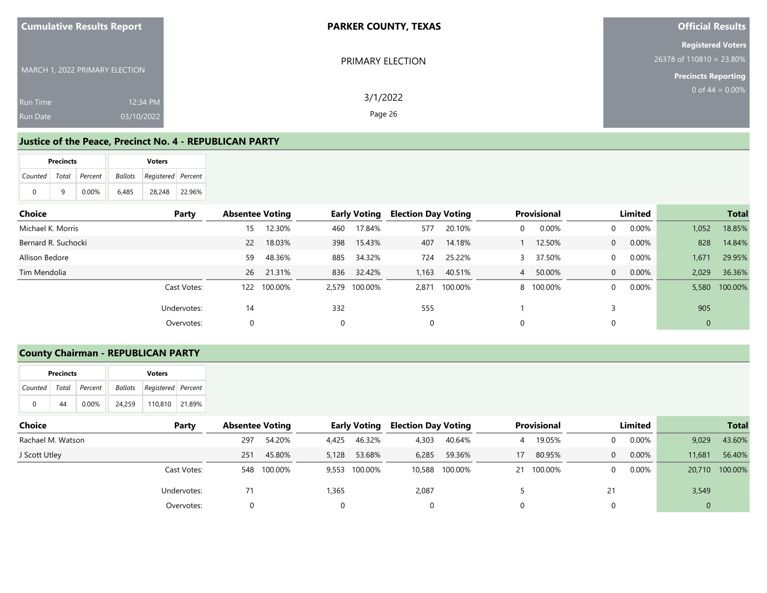| <b>Cumulative Results Report</b>                             | <b>PARKER COUNTY, TEXAS</b> | <b>Official Results</b> |  |  |  |
|--------------------------------------------------------------|-----------------------------|-------------------------|--|--|--|
| MARCH 1, 2022 PRIMARY ELECTION                               | PRIMARY ELECTION            |                         |  |  |  |
| 12:34 PM<br><b>Run Time</b><br>03/10/2022<br><b>Run Date</b> | 3/1/2022<br>Page 26         | 0 of $44 = 0.00\%$      |  |  |  |

#### **Justice of the Peace, Precinct No. 4 - REPUBLICAN PARTY**

|   | <b>Precincts</b>      |          |       | <b>Voters</b>              |        |
|---|-----------------------|----------|-------|----------------------------|--------|
|   | Counted Total Percent |          |       | Ballots Registered Percent |        |
| 0 | q                     | $0.00\%$ | 6.485 | 28.248                     | 22.96% |

| Choice              | Party       | <b>Absentee Voting</b> |             |          | <b>Early Voting</b> | <b>Election Day Voting</b> |         |   | <b>Provisional</b> |                | Limited  |              | <b>Total</b>  |
|---------------------|-------------|------------------------|-------------|----------|---------------------|----------------------------|---------|---|--------------------|----------------|----------|--------------|---------------|
| Michael K. Morris   |             | 15                     | 12.30%      | 460      | 17.84%              | 577                        | 20.10%  | 0 | 0.00%              | $\overline{0}$ | 0.00%    | 1,052        | 18.85%        |
| Bernard R. Suchocki |             | <b>22</b>              | 18.03%      | 398      | 15.43%              | 407                        | 14.18%  |   | 12.50%             | $\overline{0}$ | $0.00\%$ | 828          | 14.84%        |
| Allison Bedore      |             | 59                     | 48.36%      | 885      | 34.32%              | 724                        | 25.22%  |   | 37.50%             | $\overline{0}$ | $0.00\%$ | 1,671        | 29.95%        |
| Tim Mendolia        |             |                        | 26 21.31%   | 836      | 32.42%              | 1,163                      | 40.51%  | 4 | 50.00%             | $\overline{0}$ | $0.00\%$ | 2,029        | 36.36%        |
|                     | Cast Votes: |                        | 122 100.00% |          | 2,579 100.00%       | 2.871                      | 100.00% |   | 8 100.00%          | $\Omega$       | $0.00\%$ |              | 5,580 100.00% |
|                     | Undervotes: | 14                     |             | 332      |                     | 555                        |         |   |                    |                |          | 905          |               |
|                     | Overvotes:  | 0                      |             | $\Omega$ |                     | 0                          |         |   |                    |                |          | $\mathbf{0}$ |               |

### **County Chairman - REPUBLICAN PARTY**

|                       | <b>Precincts</b> |          | <b>Voters</b> |                            |  |  |  |  |  |  |
|-----------------------|------------------|----------|---------------|----------------------------|--|--|--|--|--|--|
| Counted Total Percent |                  |          |               | Ballots Registered Percent |  |  |  |  |  |  |
| 0                     | 44               | $0.00\%$ | 24.259        | 110,810 21.89%             |  |  |  |  |  |  |

| Choice            | Party       | <b>Absentee Voting</b> |         | <b>Early Voting</b> |         | <b>Election Day Voting</b> |                | <b>Provisional</b><br>Limited |            |    |          |              |                | <b>Total</b> |  |
|-------------------|-------------|------------------------|---------|---------------------|---------|----------------------------|----------------|-------------------------------|------------|----|----------|--------------|----------------|--------------|--|
| Rachael M. Watson |             | 297                    | 54.20%  | 4,425               | 46.32%  | 4,303                      | 40.64%         | 4                             | 19.05%     |    | $0.00\%$ | 9,029        | 43.60%         |              |  |
| J Scott Utley     |             | 251                    | 45.80%  | 5,128               | 53.68%  | 6,285                      | 59.36%         | 17                            | 80.95%     |    | 0.00%    | 11,681       | 56.40%         |              |  |
|                   | Cast Votes: | 548                    | 100.00% | 9.553               | 100.00% |                            | 10,588 100.00% |                               | 21 100.00% |    | $0.00\%$ |              | 20,710 100.00% |              |  |
|                   | Undervotes: | 71                     |         | ,365                |         | 2,087                      |                |                               |            | 21 |          | 3,549        |                |              |  |
|                   | Overvotes:  |                        |         |                     |         | 0                          |                | 0                             |            |    |          | $\mathbf{0}$ |                |              |  |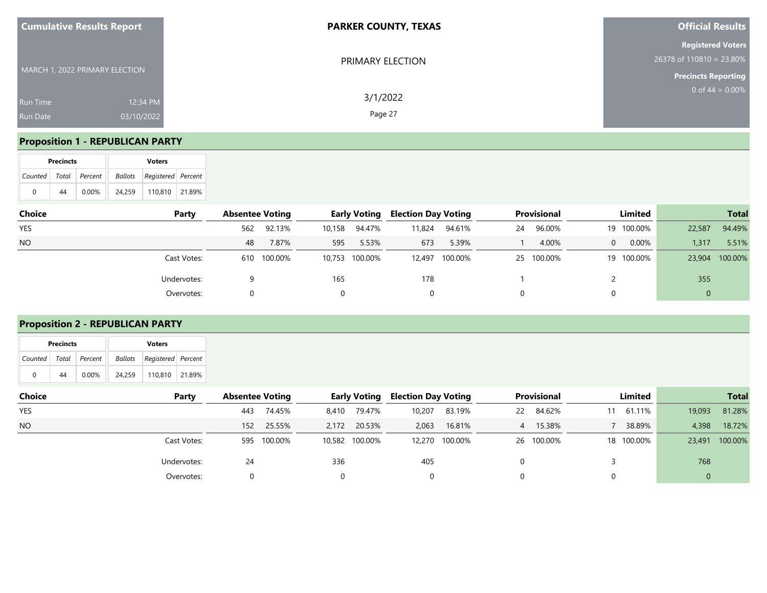| <b>Cumulative Results Report</b>                      | <b>PARKER COUNTY, TEXAS</b> | <b>Official Results</b>                                                              |
|-------------------------------------------------------|-----------------------------|--------------------------------------------------------------------------------------|
| MARCH 1, 2022 PRIMARY ELECTION                        | PRIMARY ELECTION            | <b>Registered Voters</b><br>$26378$ of 110810 = 23.80%<br><b>Precincts Reporting</b> |
| 12:34 PM<br><b>Run Time</b><br>03/10/2022<br>Run Date | 3/1/2022<br>Page 27         | 0 of $44 = 0.00\%$                                                                   |

## **Proposition 1 - REPUBLICAN PARTY**

| <b>Precincts</b> |   |    |                       |  |        | <b>Voters</b>                     |  |
|------------------|---|----|-----------------------|--|--------|-----------------------------------|--|
|                  |   |    | Counted Total Percent |  |        | <b>Ballots</b> Registered Percent |  |
|                  | 0 | 44 | $0.00\%$              |  | 24.259 | 110,810 21.89%                    |  |

| Choice     | Party       | <b>Absentee Voting</b> |             |        | <b>Early Voting</b> |        | <b>Election Day Voting</b> |    | Provisional |          | Limited    |             | <b>Total</b> |
|------------|-------------|------------------------|-------------|--------|---------------------|--------|----------------------------|----|-------------|----------|------------|-------------|--------------|
| <b>YES</b> |             | 562                    | 92.13%      | 10,158 | 94.47%              | 11,824 | 94.61%                     | 24 | 96.00%      |          | 19 100.00% | 22,587      | 94.49%       |
| <b>NO</b>  |             | 48                     | 7.87%       | 595    | 5.53%               | 673    | 5.39%                      |    | 4.00%       | $\Omega$ | 0.00%      | 1.317       | 5.51%        |
|            | Cast Votes: |                        | 610 100.00% |        | 10,753 100.00%      | 12,497 | 100.00%                    |    | 25 100.00%  |          | 19 100.00% | 23,904      | 100.00%      |
|            | Undervotes: |                        |             | 165    |                     | 178    |                            |    |             |          |            | 355         |              |
|            | Overvotes:  |                        |             |        |                     | 0      |                            |    |             | 0        |            | $\mathbf 0$ |              |

## **Proposition 2 - REPUBLICAN PARTY**

|   | <b>Precincts</b>      |          |        | <b>Voters</b>              |  |
|---|-----------------------|----------|--------|----------------------------|--|
|   | Counted Total Percent |          |        | Ballots Registered Percent |  |
| 0 | 44                    | $0.00\%$ | 24.259 | 110.810 21.89%             |  |

| Choice     | Party       | <b>Absentee Voting</b> |         |       | <b>Early Voting</b> |        | <b>Election Day Voting</b> |    | <b>Provisional</b> |  | Limited    |        | <b>Total</b> |
|------------|-------------|------------------------|---------|-------|---------------------|--------|----------------------------|----|--------------------|--|------------|--------|--------------|
| <b>YES</b> |             | 443                    | 74.45%  | 8,410 | 79.47%              | 10,207 | 83.19%                     | 22 | 84.62%             |  | 11 61.11%  | 19,093 | 81.28%       |
| <b>NO</b>  |             | 152                    | 25.55%  | 2,172 | 20.53%              | 2,063  | 16.81%                     |    | 4 15.38%           |  | 38.89%     | 4,398  | 18.72%       |
|            | Cast Votes: | 595                    | 100.00% |       | 10,582 100.00%      |        | 12,270 100.00%             |    | 26 100.00%         |  | 18 100.00% | 23,491 | 100.00%      |
|            | Undervotes: | 24                     |         | 336   |                     | 405    |                            |    |                    |  |            | 768    |              |
|            | Overvotes:  |                        |         | 0     |                     |        |                            |    |                    |  |            |        |              |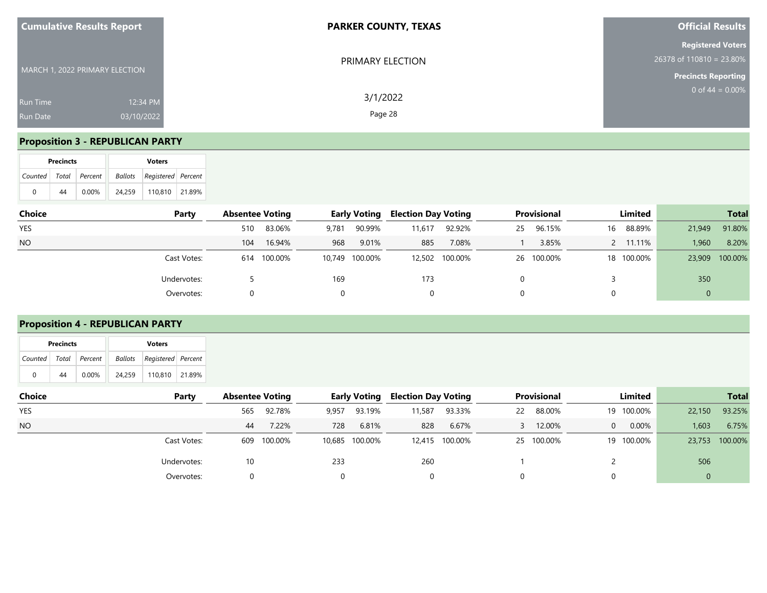| <b>Cumulative Results Report</b>                             | <b>PARKER COUNTY, TEXAS</b> | <b>Official Results</b>                                                              |
|--------------------------------------------------------------|-----------------------------|--------------------------------------------------------------------------------------|
| MARCH 1, 2022 PRIMARY ELECTION                               | PRIMARY ELECTION            | <b>Registered Voters</b><br>$26378$ of 110810 = 23.80%<br><b>Precincts Reporting</b> |
| 12:34 PM<br><b>Run Time</b><br>03/10/2022<br><b>Run Date</b> | 3/1/2022<br>Page 28         | 0 of $44 = 0.00\%$                                                                   |

## **Proposition 3 - REPUBLICAN PARTY**

| <b>Precincts</b> |   |                       |          |  |        | <b>Voters</b>              |  |
|------------------|---|-----------------------|----------|--|--------|----------------------------|--|
|                  |   | Counted Total Percent |          |  |        | Ballots Registered Percent |  |
|                  | 0 | 44                    | $0.00\%$ |  | 24.259 | 110,810   21.89%           |  |

| Choice     | Party       | <b>Absentee Voting</b> |             |       | <b>Early Voting</b> |        | <b>Election Day Voting</b> |    | <b>Provisional</b> |    | <b>Limited</b> |             | <b>Total</b> |
|------------|-------------|------------------------|-------------|-------|---------------------|--------|----------------------------|----|--------------------|----|----------------|-------------|--------------|
| <b>YES</b> |             | 510                    | 83.06%      | 9,781 | 90.99%              | 11,617 | 92.92%                     | 25 | 96.15%             | 16 | 88.89%         | 21,949      | 91.80%       |
| <b>NO</b>  |             | 104                    | 16.94%      | 968   | 9.01%               | 885    | 7.08%                      |    | 3.85%              |    | 2 11.11%       | 1,960       | 8.20%        |
|            | Cast Votes: |                        | 614 100.00% |       | 10,749 100.00%      |        | 12,502 100.00%             |    | 26 100.00%         |    | 18 100.00%     | 23,909      | 100.00%      |
|            | Undervotes: |                        |             | 169   |                     | 173    |                            |    |                    |    |                | 350         |              |
|            | Overvotes:  |                        |             |       |                     | 0      |                            |    |                    | 0  |                | $\mathbf 0$ |              |

#### **Proposition 4 - REPUBLICAN PARTY**

|   | <b>Precincts</b> |                       |        | <b>Voters</b>                     |  |
|---|------------------|-----------------------|--------|-----------------------------------|--|
|   |                  | Counted Total Percent |        | <b>Ballots</b> Registered Percent |  |
| 0 | 44               | $0.00\%$              | 24.259 | 110.810 21.89%                    |  |

| <b>Choice</b> | Party       | <b>Absentee Voting</b> |             |       | <b>Early Voting</b> | <b>Election Day Voting</b> |                |    | Provisional |   | Limited    |        | <b>Total</b>   |
|---------------|-------------|------------------------|-------------|-------|---------------------|----------------------------|----------------|----|-------------|---|------------|--------|----------------|
| <b>YES</b>    |             | 565                    | 92.78%      | 9,957 | 93.19%              | 11,587                     | 93.33%         | 22 | 88.00%      |   | 19 100.00% | 22,150 | 93.25%         |
| <b>NO</b>     |             | 44                     | 7.22%       | 728   | 6.81%               | 828                        | 6.67%          |    | 12.00%      | 0 | 0.00%      | 1,603  | 6.75%          |
|               | Cast Votes: |                        | 609 100.00% |       | 10,685 100.00%      |                            | 12,415 100.00% |    | 25 100.00%  |   | 19 100.00% |        | 23,753 100.00% |
|               | Undervotes: | 10                     |             | 233   |                     | 260                        |                |    |             |   |            | 506    |                |
|               | Overvotes:  |                        |             | 0     |                     |                            |                |    |             |   |            |        |                |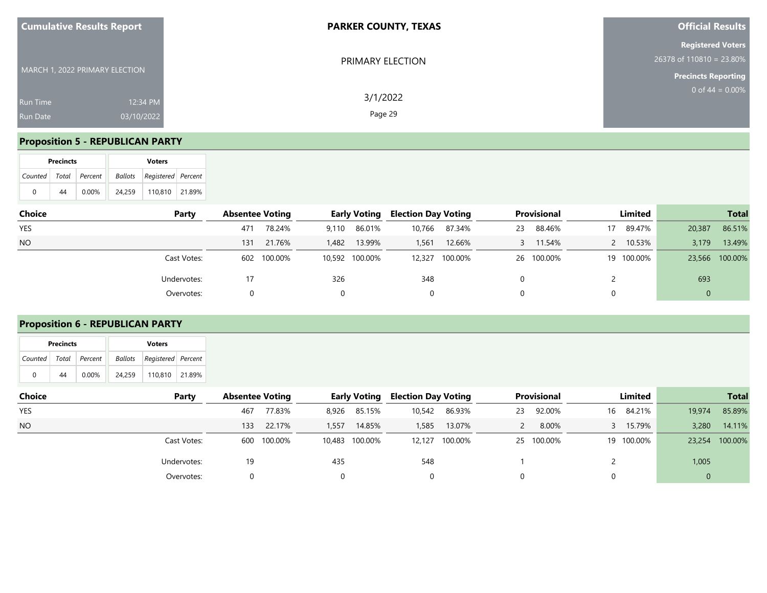| <b>Cumulative Results Report</b>                      | <b>PARKER COUNTY, TEXAS</b> | <b>Official Results</b>                                                              |
|-------------------------------------------------------|-----------------------------|--------------------------------------------------------------------------------------|
| MARCH 1, 2022 PRIMARY ELECTION                        | PRIMARY ELECTION            | <b>Registered Voters</b><br>$26378$ of 110810 = 23.80%<br><b>Precincts Reporting</b> |
| 12:34 PM<br><b>Run Time</b><br>03/10/2022<br>Run Date | 3/1/2022<br>Page 29         | 0 of $44 = 0.00\%$                                                                   |

## **Proposition 5 - REPUBLICAN PARTY**

|   | <b>Precincts</b> |                       |        | <b>Voters</b>              |  |
|---|------------------|-----------------------|--------|----------------------------|--|
|   |                  | Counted Total Percent |        | Ballots Registered Percent |  |
| 0 | 44               | $0.00\%$              | 24.259 | 110,810   21.89%           |  |

| Choice     | Party       | <b>Absentee Voting</b> |             |       | <b>Early Voting</b> | <b>Election Day Voting</b> |         |    | Provisional |    | Limited    |             | <b>Total</b>   |
|------------|-------------|------------------------|-------------|-------|---------------------|----------------------------|---------|----|-------------|----|------------|-------------|----------------|
| <b>YES</b> |             | 471                    | 78.24%      | 9.110 | 86.01%              | 10,766                     | 87.34%  | 23 | 88.46%      | 17 | 89.47%     | 20,387      | 86.51%         |
| <b>NO</b>  |             | 131                    | 21.76%      | 1,482 | 13.99%              | 1,561                      | 12.66%  |    | 11.54%      |    | 2 10.53%   | 3,179       | 13.49%         |
|            | Cast Votes: |                        | 602 100.00% |       | 10,592 100.00%      | 12,327                     | 100.00% |    | 26 100.00%  |    | 19 100.00% |             | 23,566 100.00% |
|            | Undervotes: |                        |             | 326   |                     | 348                        |         |    |             |    |            | 693         |                |
|            | Overvotes:  |                        |             |       |                     | 0                          |         |    |             | 0  |            | $\mathbf 0$ |                |

# **Proposition 6 - REPUBLICAN PARTY**

|   | <b>Precincts</b> |                       |        | <b>Voters</b>                     |  |
|---|------------------|-----------------------|--------|-----------------------------------|--|
|   |                  | Counted Total Percent |        | <b>Ballots</b> Registered Percent |  |
| 0 | 44               | $0.00\%$              | 24.259 | 110.810 21.89%                    |  |

| Choice     | Party       | <b>Absentee Voting</b> |             |       | <b>Early Voting</b> | <b>Election Day Voting</b> |                |    | <b>Provisional</b> | Limited    |        | <b>Total</b> |
|------------|-------------|------------------------|-------------|-------|---------------------|----------------------------|----------------|----|--------------------|------------|--------|--------------|
| <b>YES</b> |             | 467                    | 77.83%      |       | 8,926 85.15%        | 10,542                     | 86.93%         | 23 | 92.00%             | 16 84.21%  | 19,974 | 85.89%       |
| <b>NO</b>  |             | 133                    | 22.17%      | 1,557 | 14.85%              | 1,585                      | 13.07%         |    | 8.00%              | 15.79%     | 3,280  | 14.11%       |
|            | Cast Votes: |                        | 600 100.00% |       | 10,483 100.00%      |                            | 12,127 100.00% |    | 25 100.00%         | 19 100.00% | 23,254 | 100.00%      |
|            | Undervotes: | 19                     |             | 435   |                     | 548                        |                |    |                    |            | 1,005  |              |
|            | Overvotes:  |                        |             | 0     |                     |                            |                |    |                    |            |        |              |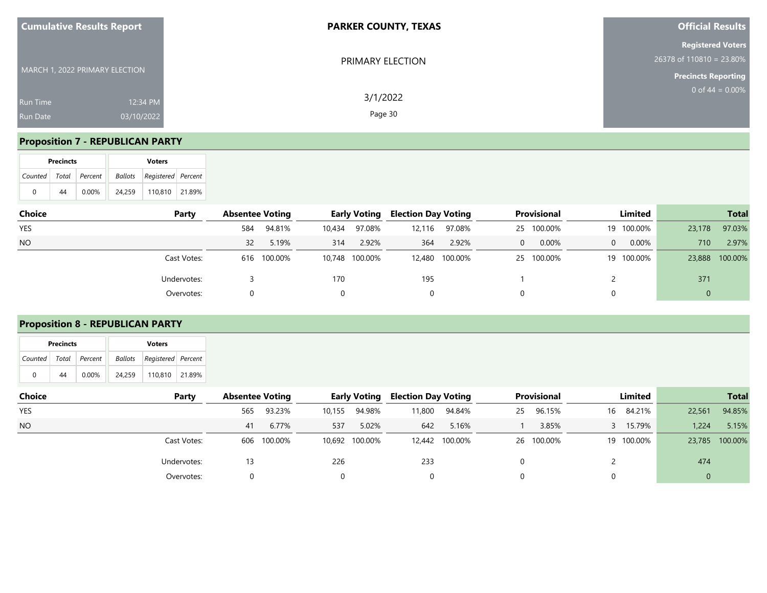| <b>Cumulative Results Report</b>                      | <b>PARKER COUNTY, TEXAS</b> | <b>Official Results</b>                                                              |
|-------------------------------------------------------|-----------------------------|--------------------------------------------------------------------------------------|
| MARCH 1, 2022 PRIMARY ELECTION                        | PRIMARY ELECTION            | <b>Registered Voters</b><br>$26378$ of 110810 = 23.80%<br><b>Precincts Reporting</b> |
| 12:34 PM<br><b>Run Time</b><br>03/10/2022<br>Run Date | 3/1/2022<br>Page 30         | 0 of $44 = 0.00\%$                                                                   |

## **Proposition 7 - REPUBLICAN PARTY**

|   | <b>Precincts</b> |                       |  |        |                            |  |
|---|------------------|-----------------------|--|--------|----------------------------|--|
|   |                  | Counted Total Percent |  |        | Ballots Registered Percent |  |
| 0 | 44               | $0.00\%$              |  | 24.259 | 110.810 21.89%             |  |

| Choice     | Party       | <b>Absentee Voting</b> |             |        | <b>Early Voting</b> | <b>Election Day Voting</b> |                |   | <b>Provisional</b> |          | <b>Limited</b> |        | <b>Total</b> |
|------------|-------------|------------------------|-------------|--------|---------------------|----------------------------|----------------|---|--------------------|----------|----------------|--------|--------------|
| <b>YES</b> |             | 584                    | 94.81%      | 10,434 | 97.08%              | 12,116                     | 97.08%         |   | 25 100.00%         |          | 19 100.00%     | 23,178 | 97.03%       |
| <b>NO</b>  |             | 32                     | 5.19%       | 314    | 2.92%               | 364                        | 2.92%          | 0 | 0.00%              | $\Omega$ | 0.00%          | 710    | 2.97%        |
|            | Cast Votes: |                        | 616 100.00% |        | 10,748 100.00%      |                            | 12,480 100.00% |   | 25 100.00%         |          | 19 100.00%     | 23,888 | 100.00%      |
|            | Undervotes: |                        |             | 170    |                     | 195                        |                |   |                    |          |                | 371    |              |
|            | Overvotes:  |                        |             |        |                     | 0                          |                |   |                    | 0        |                | 0      |              |

# **Proposition 8 - REPUBLICAN PARTY**

|   | <b>Precincts</b> |                       |        | <b>Voters</b>                     |  |
|---|------------------|-----------------------|--------|-----------------------------------|--|
|   |                  | Counted Total Percent |        | <b>Ballots</b> Registered Percent |  |
| 0 | 44               | $0.00\%$              | 24.259 | 110.810 21.89%                    |  |

| Choice     | Party       | <b>Absentee Voting</b> |             |        | <b>Early Voting</b> | <b>Election Day Voting</b> |                |    | <b>Provisional</b> | Limited    |        | <b>Total</b>   |
|------------|-------------|------------------------|-------------|--------|---------------------|----------------------------|----------------|----|--------------------|------------|--------|----------------|
| <b>YES</b> |             | 565                    | 93.23%      | 10,155 | 94.98%              | 11,800                     | 94.84%         | 25 | 96.15%             | 16 84.21%  | 22,561 | 94.85%         |
| <b>NO</b>  |             | 41                     | 6.77%       | 537    | 5.02%               | 642                        | 5.16%          |    | 3.85%              | 15.79%     | 1,224  | 5.15%          |
|            | Cast Votes: |                        | 606 100.00% |        | 10,692 100.00%      |                            | 12,442 100.00% |    | 26 100.00%         | 19 100.00% |        | 23,785 100.00% |
|            | Undervotes: |                        |             | 226    |                     | 233                        |                |    |                    |            | 474    |                |
|            | Overvotes:  |                        |             | 0      |                     |                            |                |    |                    |            |        |                |